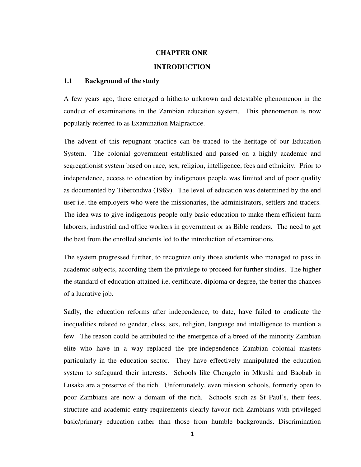# **CHAPTER ONE**

# **INTRODUCTION**

## **1.1 Background of the study**

A few years ago, there emerged a hitherto unknown and detestable phenomenon in the conduct of examinations in the Zambian education system. This phenomenon is now popularly referred to as Examination Malpractice.

The advent of this repugnant practice can be traced to the heritage of our Education System. The colonial government established and passed on a highly academic and segregationist system based on race, sex, religion, intelligence, fees and ethnicity. Prior to independence, access to education by indigenous people was limited and of poor quality as documented by Tiberondwa (1989). The level of education was determined by the end user i.e. the employers who were the missionaries, the administrators, settlers and traders. The idea was to give indigenous people only basic education to make them efficient farm laborers, industrial and office workers in government or as Bible readers. The need to get the best from the enrolled students led to the introduction of examinations.

The system progressed further, to recognize only those students who managed to pass in academic subjects, according them the privilege to proceed for further studies. The higher the standard of education attained i.e. certificate, diploma or degree, the better the chances of a lucrative job.

Sadly, the education reforms after independence, to date, have failed to eradicate the inequalities related to gender, class, sex, religion, language and intelligence to mention a few. The reason could be attributed to the emergence of a breed of the minority Zambian elite who have in a way replaced the pre-independence Zambian colonial masters particularly in the education sector. They have effectively manipulated the education system to safeguard their interests. Schools like Chengelo in Mkushi and Baobab in Lusaka are a preserve of the rich. Unfortunately, even mission schools, formerly open to poor Zambians are now a domain of the rich. Schools such as St Paul's, their fees, structure and academic entry requirements clearly favour rich Zambians with privileged basic/primary education rather than those from humble backgrounds. Discrimination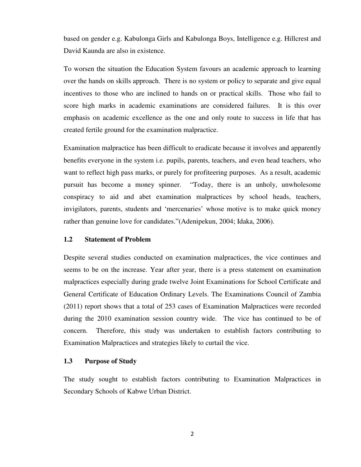based on gender e.g. Kabulonga Girls and Kabulonga Boys, Intelligence e.g. Hillcrest and David Kaunda are also in existence.

To worsen the situation the Education System favours an academic approach to learning over the hands on skills approach. There is no system or policy to separate and give equal incentives to those who are inclined to hands on or practical skills. Those who fail to score high marks in academic examinations are considered failures. It is this over emphasis on academic excellence as the one and only route to success in life that has created fertile ground for the examination malpractice.

Examination malpractice has been difficult to eradicate because it involves and apparently benefits everyone in the system i.e. pupils, parents, teachers, and even head teachers, who want to reflect high pass marks, or purely for profiteering purposes. As a result, academic pursuit has become a money spinner. "Today, there is an unholy, unwholesome conspiracy to aid and abet examination malpractices by school heads, teachers, invigilators, parents, students and 'mercenaries' whose motive is to make quick money rather than genuine love for candidates."(Adenipekun, 2004; Idaka, 2006).

#### **1.2 Statement of Problem**

Despite several studies conducted on examination malpractices, the vice continues and seems to be on the increase. Year after year, there is a press statement on examination malpractices especially during grade twelve Joint Examinations for School Certificate and General Certificate of Education Ordinary Levels. The Examinations Council of Zambia (2011) report shows that a total of 253 cases of Examination Malpractices were recorded during the 2010 examination session country wide. The vice has continued to be of concern. Therefore, this study was undertaken to establish factors contributing to Examination Malpractices and strategies likely to curtail the vice.

## **1.3 Purpose of Study**

The study sought to establish factors contributing to Examination Malpractices in Secondary Schools of Kabwe Urban District.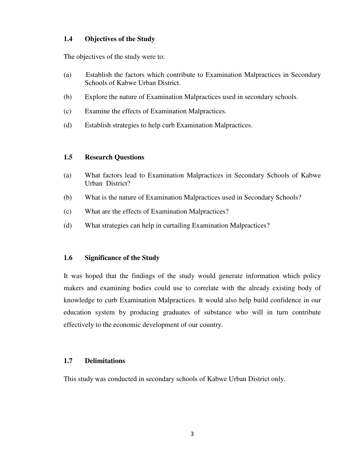# **1.4 Objectives of the Study**

The objectives of the study were to:

- (a) Establish the factors which contribute to Examination Malpractices in Secondary Schools of Kabwe Urban District.
- (b) Explore the nature of Examination Malpractices used in secondary schools.
- (c) Examine the effects of Examination Malpractices.
- (d) Establish strategies to help curb Examination Malpractices.

# **1.5 Research Questions**

- (a) What factors lead to Examination Malpractices in Secondary Schools of Kabwe Urban District?
- (b) What is the nature of Examination Malpractices used in Secondary Schools?
- (c) What are the effects of Examination Malpractices?
- (d) What strategies can help in curtailing Examination Malpractices?

# **1.6 Significance of the Study**

It was hoped that the findings of the study would generate information which policy makers and examining bodies could use to correlate with the already existing body of knowledge to curb Examination Malpractices. It would also help build confidence in our education system by producing graduates of substance who will in turn contribute effectively to the economic development of our country.

# **1.7 Delimitations**

This study was conducted in secondary schools of Kabwe Urban District only.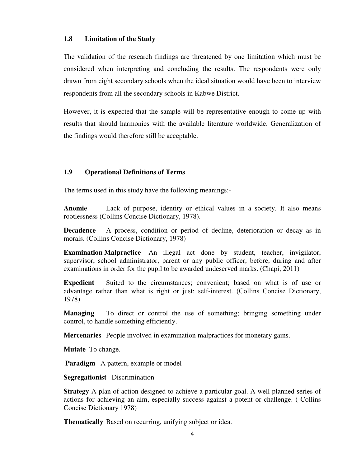## **1.8 Limitation of the Study**

The validation of the research findings are threatened by one limitation which must be considered when interpreting and concluding the results. The respondents were only drawn from eight secondary schools when the ideal situation would have been to interview respondents from all the secondary schools in Kabwe District.

However, it is expected that the sample will be representative enough to come up with results that should harmonies with the available literature worldwide. Generalization of the findings would therefore still be acceptable.

# **1.9 Operational Definitions of Terms**

The terms used in this study have the following meanings:-

**Anomie** Lack of purpose, identity or ethical values in a society. It also means rootlessness (Collins Concise Dictionary, 1978).

**Decadence** A process, condition or period of decline, deterioration or decay as in morals. (Collins Concise Dictionary, 1978)

**Examination Malpractice** An illegal act done by student, teacher, invigilator, supervisor, school administrator, parent or any public officer, before, during and after examinations in order for the pupil to be awarded undeserved marks. (Chapi, 2011)

**Expedient** Suited to the circumstances; convenient; based on what is of use or advantage rather than what is right or just; self-interest. (Collins Concise Dictionary, 1978)

**Managing** To direct or control the use of something; bringing something under control, to handle something efficiently.

**Mercenaries** People involved in examination malpractices for monetary gains.

**Mutate** To change.

**Paradigm** A pattern, example or model

**Segregationist** Discrimination

**Strategy** A plan of action designed to achieve a particular goal. A well planned series of actions for achieving an aim, especially success against a potent or challenge. ( Collins Concise Dictionary 1978)

**Thematically** Based on recurring, unifying subject or idea.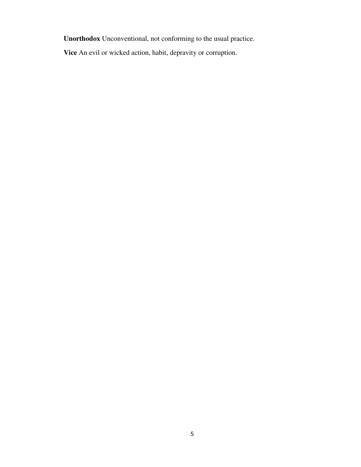**Unorthodox** Unconventional, not conforming to the usual practice.

**Vice** An evil or wicked action, habit, depravity or corruption.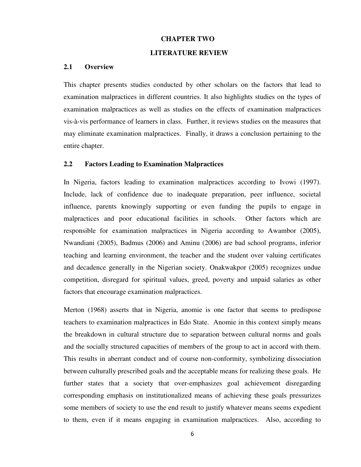#### **CHAPTER TWO**

## **LITERATURE REVIEW**

#### **2.1 Overview**

This chapter presents studies conducted by other scholars on the factors that lead to examination malpractices in different countries. It also highlights studies on the types of examination malpractices as well as studies on the effects of examination malpractices vis-à-vis performance of learners in class. Further, it reviews studies on the measures that may eliminate examination malpractices. Finally, it draws a conclusion pertaining to the entire chapter.

#### **2.2 Factors Leading to Examination Malpractices**

In Nigeria, factors leading to examination malpractices according to Ivowi (1997). Include, lack of confidence due to inadequate preparation, peer influence, societal influence, parents knowingly supporting or even funding the pupils to engage in malpractices and poor educational facilities in schools. Other factors which are responsible for examination malpractices in Nigeria according to Awambor (2005), Nwandiani (2005), Badmus (2006) and Aminu (2006) are bad school programs, inferior teaching and learning environment, the teacher and the student over valuing certificates and decadence generally in the Nigerian society. Onakwakpor (2005) recognizes undue competition, disregard for spiritual values, greed, poverty and unpaid salaries as other factors that encourage examination malpractices.

Merton (1968) asserts that in Nigeria, anomie is one factor that seems to predispose teachers to examination malpractices in Edo State. Anomie in this context simply means the breakdown in cultural structure due to separation between cultural norms and goals and the socially structured capacities of members of the group to act in accord with them. This results in aberrant conduct and of course non-conformity, symbolizing dissociation between culturally prescribed goals and the acceptable means for realizing these goals. He further states that a society that over-emphasizes goal achievement disregarding corresponding emphasis on institutionalized means of achieving these goals pressurizes some members of society to use the end result to justify whatever means seems expedient to them, even if it means engaging in examination malpractices. Also, according to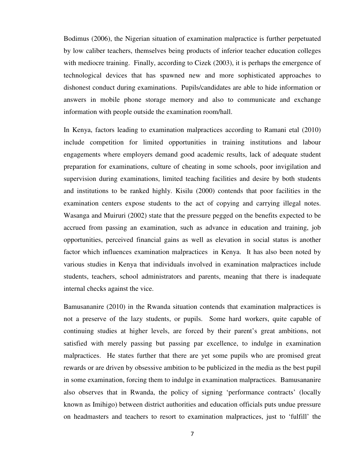Bodimus (2006), the Nigerian situation of examination malpractice is further perpetuated by low caliber teachers, themselves being products of inferior teacher education colleges with mediocre training. Finally, according to Cizek (2003), it is perhaps the emergence of technological devices that has spawned new and more sophisticated approaches to dishonest conduct during examinations. Pupils/candidates are able to hide information or answers in mobile phone storage memory and also to communicate and exchange information with people outside the examination room/hall.

In Kenya, factors leading to examination malpractices according to Ramani etal (2010) include competition for limited opportunities in training institutions and labour engagements where employers demand good academic results, lack of adequate student preparation for examinations, culture of cheating in some schools, poor invigilation and supervision during examinations, limited teaching facilities and desire by both students and institutions to be ranked highly. Kisilu (2000) contends that poor facilities in the examination centers expose students to the act of copying and carrying illegal notes. Wasanga and Muiruri (2002) state that the pressure pegged on the benefits expected to be accrued from passing an examination, such as advance in education and training, job opportunities, perceived financial gains as well as elevation in social status is another factor which influences examination malpractices in Kenya. It has also been noted by various studies in Kenya that individuals involved in examination malpractices include students, teachers, school administrators and parents, meaning that there is inadequate internal checks against the vice.

Bamusananire (2010) in the Rwanda situation contends that examination malpractices is not a preserve of the lazy students, or pupils. Some hard workers, quite capable of continuing studies at higher levels, are forced by their parent's great ambitions, not satisfied with merely passing but passing par excellence, to indulge in examination malpractices. He states further that there are yet some pupils who are promised great rewards or are driven by obsessive ambition to be publicized in the media as the best pupil in some examination, forcing them to indulge in examination malpractices. Bamusananire also observes that in Rwanda, the policy of signing 'performance contracts' (locally known as Imihigo) between district authorities and education officials puts undue pressure on headmasters and teachers to resort to examination malpractices, just to 'fulfill' the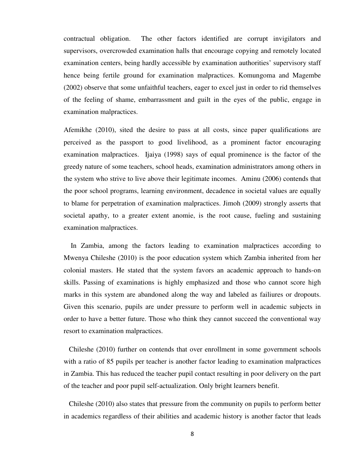contractual obligation. The other factors identified are corrupt invigilators and supervisors, overcrowded examination halls that encourage copying and remotely located examination centers, being hardly accessible by examination authorities' supervisory staff hence being fertile ground for examination malpractices. Komungoma and Magembe (2002) observe that some unfaithful teachers, eager to excel just in order to rid themselves of the feeling of shame, embarrassment and guilt in the eyes of the public, engage in examination malpractices.

Afemikhe (2010), sited the desire to pass at all costs, since paper qualifications are perceived as the passport to good livelihood, as a prominent factor encouraging examination malpractices. Ijaiya (1998) says of equal prominence is the factor of the greedy nature of some teachers, school heads, examination administrators among others in the system who strive to live above their legitimate incomes. Aminu (2006) contends that the poor school programs, learning environment, decadence in societal values are equally to blame for perpetration of examination malpractices. Jimoh (2009) strongly asserts that societal apathy, to a greater extent anomie, is the root cause, fueling and sustaining examination malpractices.

 In Zambia, among the factors leading to examination malpractices according to Mwenya Chileshe (2010) is the poor education system which Zambia inherited from her colonial masters. He stated that the system favors an academic approach to hands-on skills. Passing of examinations is highly emphasized and those who cannot score high marks in this system are abandoned along the way and labeled as failiures or dropouts. Given this scenario, pupils are under pressure to perform well in academic subjects in order to have a better future. Those who think they cannot succeed the conventional way resort to examination malpractices.

 Chileshe (2010) further on contends that over enrollment in some government schools with a ratio of 85 pupils per teacher is another factor leading to examination malpractices in Zambia. This has reduced the teacher pupil contact resulting in poor delivery on the part of the teacher and poor pupil self-actualization. Only bright learners benefit.

 Chileshe (2010) also states that pressure from the community on pupils to perform better in academics regardless of their abilities and academic history is another factor that leads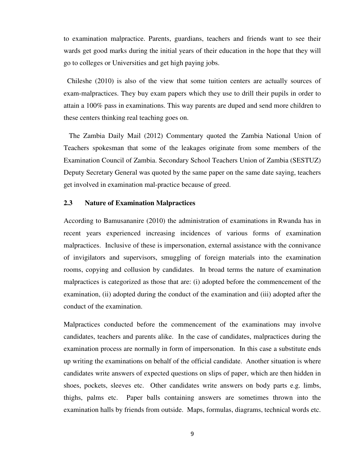to examination malpractice. Parents, guardians, teachers and friends want to see their wards get good marks during the initial years of their education in the hope that they will go to colleges or Universities and get high paying jobs.

 Chileshe (2010) is also of the view that some tuition centers are actually sources of exam-malpractices. They buy exam papers which they use to drill their pupils in order to attain a 100% pass in examinations. This way parents are duped and send more children to these centers thinking real teaching goes on.

 The Zambia Daily Mail (2012) Commentary quoted the Zambia National Union of Teachers spokesman that some of the leakages originate from some members of the Examination Council of Zambia. Secondary School Teachers Union of Zambia (SESTUZ) Deputy Secretary General was quoted by the same paper on the same date saying, teachers get involved in examination mal-practice because of greed.

#### **2.3 Nature of Examination Malpractices**

According to Bamusananire (2010) the administration of examinations in Rwanda has in recent years experienced increasing incidences of various forms of examination malpractices. Inclusive of these is impersonation, external assistance with the connivance of invigilators and supervisors, smuggling of foreign materials into the examination rooms, copying and collusion by candidates. In broad terms the nature of examination malpractices is categorized as those that are: (i) adopted before the commencement of the examination, (ii) adopted during the conduct of the examination and (iii) adopted after the conduct of the examination.

Malpractices conducted before the commencement of the examinations may involve candidates, teachers and parents alike. In the case of candidates, malpractices during the examination process are normally in form of impersonation. In this case a substitute ends up writing the examinations on behalf of the official candidate. Another situation is where candidates write answers of expected questions on slips of paper, which are then hidden in shoes, pockets, sleeves etc. Other candidates write answers on body parts e.g. limbs, thighs, palms etc. Paper balls containing answers are sometimes thrown into the examination halls by friends from outside. Maps, formulas, diagrams, technical words etc.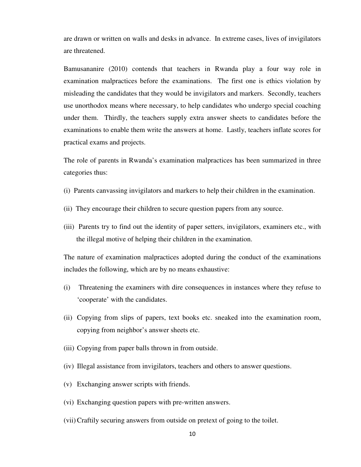are drawn or written on walls and desks in advance. In extreme cases, lives of invigilators are threatened.

Bamusananire (2010) contends that teachers in Rwanda play a four way role in examination malpractices before the examinations. The first one is ethics violation by misleading the candidates that they would be invigilators and markers. Secondly, teachers use unorthodox means where necessary, to help candidates who undergo special coaching under them. Thirdly, the teachers supply extra answer sheets to candidates before the examinations to enable them write the answers at home. Lastly, teachers inflate scores for practical exams and projects.

The role of parents in Rwanda's examination malpractices has been summarized in three categories thus:

- (i) Parents canvassing invigilators and markers to help their children in the examination.
- (ii) They encourage their children to secure question papers from any source.
- (iii) Parents try to find out the identity of paper setters, invigilators, examiners etc., with the illegal motive of helping their children in the examination.

The nature of examination malpractices adopted during the conduct of the examinations includes the following, which are by no means exhaustive:

- (i) Threatening the examiners with dire consequences in instances where they refuse to 'cooperate' with the candidates.
- (ii) Copying from slips of papers, text books etc. sneaked into the examination room, copying from neighbor's answer sheets etc.
- (iii) Copying from paper balls thrown in from outside.
- (iv) Illegal assistance from invigilators, teachers and others to answer questions.
- (v) Exchanging answer scripts with friends.
- (vi) Exchanging question papers with pre-written answers.
- (vii)Craftily securing answers from outside on pretext of going to the toilet.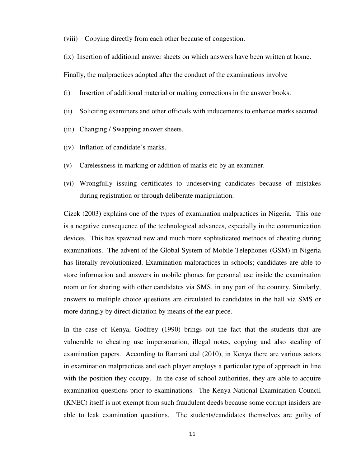(viii) Copying directly from each other because of congestion.

(ix) Insertion of additional answer sheets on which answers have been written at home.

Finally, the malpractices adopted after the conduct of the examinations involve

- (i) Insertion of additional material or making corrections in the answer books.
- (ii) Soliciting examiners and other officials with inducements to enhance marks secured.
- (iii) Changing / Swapping answer sheets.
- (iv) Inflation of candidate's marks.
- (v) Carelessness in marking or addition of marks etc by an examiner.
- (vi) Wrongfully issuing certificates to undeserving candidates because of mistakes during registration or through deliberate manipulation.

Cizek (2003) explains one of the types of examination malpractices in Nigeria. This one is a negative consequence of the technological advances, especially in the communication devices. This has spawned new and much more sophisticated methods of cheating during examinations. The advent of the Global System of Mobile Telephones (GSM) in Nigeria has literally revolutionized. Examination malpractices in schools; candidates are able to store information and answers in mobile phones for personal use inside the examination room or for sharing with other candidates via SMS, in any part of the country. Similarly, answers to multiple choice questions are circulated to candidates in the hall via SMS or more daringly by direct dictation by means of the ear piece.

In the case of Kenya, Godfrey (1990) brings out the fact that the students that are vulnerable to cheating use impersonation, illegal notes, copying and also stealing of examination papers. According to Ramani etal (2010), in Kenya there are various actors in examination malpractices and each player employs a particular type of approach in line with the position they occupy. In the case of school authorities, they are able to acquire examination questions prior to examinations. The Kenya National Examination Council (KNEC) itself is not exempt from such fraudulent deeds because some corrupt insiders are able to leak examination questions. The students/candidates themselves are guilty of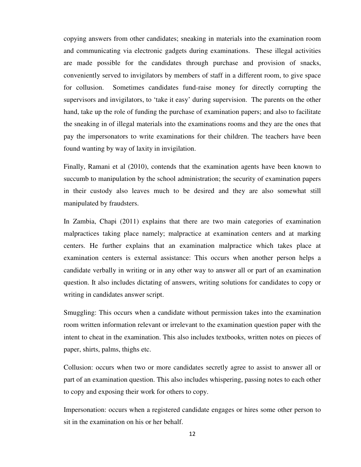copying answers from other candidates; sneaking in materials into the examination room and communicating via electronic gadgets during examinations. These illegal activities are made possible for the candidates through purchase and provision of snacks, conveniently served to invigilators by members of staff in a different room, to give space for collusion. Sometimes candidates fund-raise money for directly corrupting the supervisors and invigilators, to 'take it easy' during supervision. The parents on the other hand, take up the role of funding the purchase of examination papers; and also to facilitate the sneaking in of illegal materials into the examinations rooms and they are the ones that pay the impersonators to write examinations for their children. The teachers have been found wanting by way of laxity in invigilation.

Finally, Ramani et al (2010), contends that the examination agents have been known to succumb to manipulation by the school administration; the security of examination papers in their custody also leaves much to be desired and they are also somewhat still manipulated by fraudsters.

In Zambia, Chapi (2011) explains that there are two main categories of examination malpractices taking place namely; malpractice at examination centers and at marking centers. He further explains that an examination malpractice which takes place at examination centers is external assistance: This occurs when another person helps a candidate verbally in writing or in any other way to answer all or part of an examination question. It also includes dictating of answers, writing solutions for candidates to copy or writing in candidates answer script.

Smuggling: This occurs when a candidate without permission takes into the examination room written information relevant or irrelevant to the examination question paper with the intent to cheat in the examination. This also includes textbooks, written notes on pieces of paper, shirts, palms, thighs etc.

Collusion: occurs when two or more candidates secretly agree to assist to answer all or part of an examination question. This also includes whispering, passing notes to each other to copy and exposing their work for others to copy.

Impersonation: occurs when a registered candidate engages or hires some other person to sit in the examination on his or her behalf.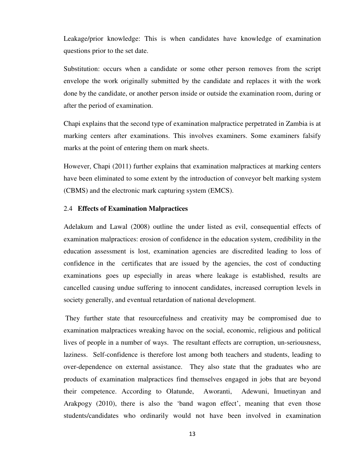Leakage/prior knowledge: This is when candidates have knowledge of examination questions prior to the set date.

Substitution: occurs when a candidate or some other person removes from the script envelope the work originally submitted by the candidate and replaces it with the work done by the candidate, or another person inside or outside the examination room, during or after the period of examination.

Chapi explains that the second type of examination malpractice perpetrated in Zambia is at marking centers after examinations. This involves examiners. Some examiners falsify marks at the point of entering them on mark sheets.

However, Chapi (2011) further explains that examination malpractices at marking centers have been eliminated to some extent by the introduction of conveyor belt marking system (CBMS) and the electronic mark capturing system (EMCS).

#### 2.4 **Effects of Examination Malpractices**

Adelakum and Lawal (2008) outline the under listed as evil, consequential effects of examination malpractices: erosion of confidence in the education system, credibility in the education assessment is lost, examination agencies are discredited leading to loss of confidence in the certificates that are issued by the agencies, the cost of conducting examinations goes up especially in areas where leakage is established, results are cancelled causing undue suffering to innocent candidates, increased corruption levels in society generally, and eventual retardation of national development.

 They further state that resourcefulness and creativity may be compromised due to examination malpractices wreaking havoc on the social, economic, religious and political lives of people in a number of ways. The resultant effects are corruption, un-seriousness, laziness. Self-confidence is therefore lost among both teachers and students, leading to over-dependence on external assistance. They also state that the graduates who are products of examination malpractices find themselves engaged in jobs that are beyond their competence. According to Olatunde, Aworanti, Adewuni, Imuetinyan and Arakpogy (2010), there is also the 'band wagon effect', meaning that even those students/candidates who ordinarily would not have been involved in examination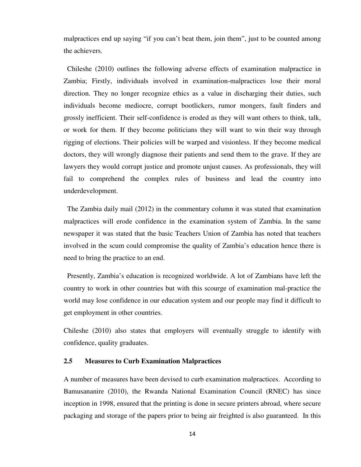malpractices end up saying "if you can't beat them, join them", just to be counted among the achievers.

 Chileshe (2010) outlines the following adverse effects of examination malpractice in Zambia; Firstly, individuals involved in examination-malpractices lose their moral direction. They no longer recognize ethics as a value in discharging their duties, such individuals become mediocre, corrupt bootlickers, rumor mongers, fault finders and grossly inefficient. Their self-confidence is eroded as they will want others to think, talk, or work for them. If they become politicians they will want to win their way through rigging of elections. Their policies will be warped and visionless. If they become medical doctors, they will wrongly diagnose their patients and send them to the grave. If they are lawyers they would corrupt justice and promote unjust causes. As professionals, they will fail to comprehend the complex rules of business and lead the country into underdevelopment.

 The Zambia daily mail (2012) in the commentary column it was stated that examination malpractices will erode confidence in the examination system of Zambia. In the same newspaper it was stated that the basic Teachers Union of Zambia has noted that teachers involved in the scum could compromise the quality of Zambia's education hence there is need to bring the practice to an end.

 Presently, Zambia's education is recognized worldwide. A lot of Zambians have left the country to work in other countries but with this scourge of examination mal-practice the world may lose confidence in our education system and our people may find it difficult to get employment in other countries.

Chileshe (2010) also states that employers will eventually struggle to identify with confidence, quality graduates.

## **2.5 Measures to Curb Examination Malpractices**

A number of measures have been devised to curb examination malpractices. According to Bamusananire (2010), the Rwanda National Examination Council (RNEC) has since inception in 1998, ensured that the printing is done in secure printers abroad, where secure packaging and storage of the papers prior to being air freighted is also guaranteed. In this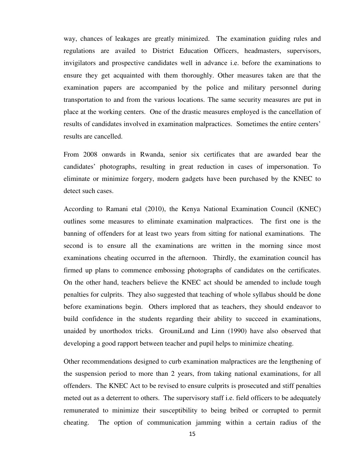way, chances of leakages are greatly minimized. The examination guiding rules and regulations are availed to District Education Officers, headmasters, supervisors, invigilators and prospective candidates well in advance i.e. before the examinations to ensure they get acquainted with them thoroughly. Other measures taken are that the examination papers are accompanied by the police and military personnel during transportation to and from the various locations. The same security measures are put in place at the working centers. One of the drastic measures employed is the cancellation of results of candidates involved in examination malpractices. Sometimes the entire centers' results are cancelled.

From 2008 onwards in Rwanda, senior six certificates that are awarded bear the candidates' photographs, resulting in great reduction in cases of impersonation. To eliminate or minimize forgery, modern gadgets have been purchased by the KNEC to detect such cases.

According to Ramani etal (2010), the Kenya National Examination Council (KNEC) outlines some measures to eliminate examination malpractices. The first one is the banning of offenders for at least two years from sitting for national examinations. The second is to ensure all the examinations are written in the morning since most examinations cheating occurred in the afternoon. Thirdly, the examination council has firmed up plans to commence embossing photographs of candidates on the certificates. On the other hand, teachers believe the KNEC act should be amended to include tough penalties for culprits. They also suggested that teaching of whole syllabus should be done before examinations begin. Others implored that as teachers, they should endeavor to build confidence in the students regarding their ability to succeed in examinations, unaided by unorthodox tricks. GrouniLund and Linn (1990) have also observed that developing a good rapport between teacher and pupil helps to minimize cheating.

Other recommendations designed to curb examination malpractices are the lengthening of the suspension period to more than 2 years, from taking national examinations, for all offenders. The KNEC Act to be revised to ensure culprits is prosecuted and stiff penalties meted out as a deterrent to others. The supervisory staff i.e. field officers to be adequately remunerated to minimize their susceptibility to being bribed or corrupted to permit cheating. The option of communication jamming within a certain radius of the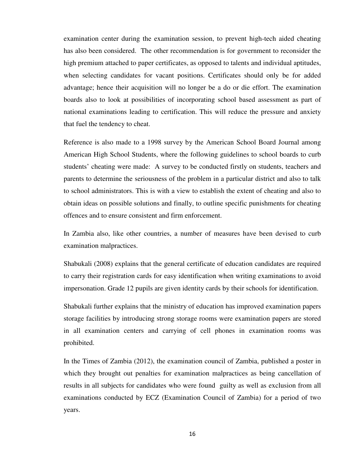examination center during the examination session, to prevent high-tech aided cheating has also been considered. The other recommendation is for government to reconsider the high premium attached to paper certificates, as opposed to talents and individual aptitudes, when selecting candidates for vacant positions. Certificates should only be for added advantage; hence their acquisition will no longer be a do or die effort. The examination boards also to look at possibilities of incorporating school based assessment as part of national examinations leading to certification. This will reduce the pressure and anxiety that fuel the tendency to cheat.

Reference is also made to a 1998 survey by the American School Board Journal among American High School Students, where the following guidelines to school boards to curb students' cheating were made: A survey to be conducted firstly on students, teachers and parents to determine the seriousness of the problem in a particular district and also to talk to school administrators. This is with a view to establish the extent of cheating and also to obtain ideas on possible solutions and finally, to outline specific punishments for cheating offences and to ensure consistent and firm enforcement.

In Zambia also, like other countries, a number of measures have been devised to curb examination malpractices.

Shabukali (2008) explains that the general certificate of education candidates are required to carry their registration cards for easy identification when writing examinations to avoid impersonation. Grade 12 pupils are given identity cards by their schools for identification.

Shabukali further explains that the ministry of education has improved examination papers storage facilities by introducing strong storage rooms were examination papers are stored in all examination centers and carrying of cell phones in examination rooms was prohibited.

In the Times of Zambia (2012), the examination council of Zambia, published a poster in which they brought out penalties for examination malpractices as being cancellation of results in all subjects for candidates who were found guilty as well as exclusion from all examinations conducted by ECZ (Examination Council of Zambia) for a period of two years.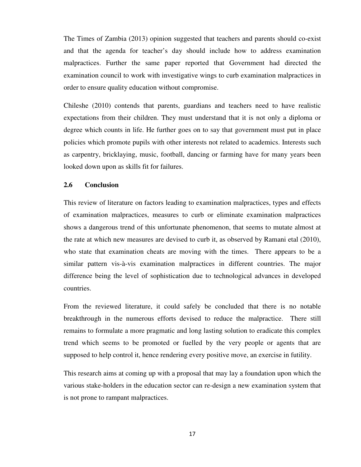The Times of Zambia (2013) opinion suggested that teachers and parents should co-exist and that the agenda for teacher's day should include how to address examination malpractices. Further the same paper reported that Government had directed the examination council to work with investigative wings to curb examination malpractices in order to ensure quality education without compromise.

Chileshe (2010) contends that parents, guardians and teachers need to have realistic expectations from their children. They must understand that it is not only a diploma or degree which counts in life. He further goes on to say that government must put in place policies which promote pupils with other interests not related to academics. Interests such as carpentry, bricklaying, music, football, dancing or farming have for many years been looked down upon as skills fit for failures.

## **2.6 Conclusion**

This review of literature on factors leading to examination malpractices, types and effects of examination malpractices, measures to curb or eliminate examination malpractices shows a dangerous trend of this unfortunate phenomenon, that seems to mutate almost at the rate at which new measures are devised to curb it, as observed by Ramani etal (2010), who state that examination cheats are moving with the times. There appears to be a similar pattern vis-à-vis examination malpractices in different countries. The major difference being the level of sophistication due to technological advances in developed countries.

From the reviewed literature, it could safely be concluded that there is no notable breakthrough in the numerous efforts devised to reduce the malpractice. There still remains to formulate a more pragmatic and long lasting solution to eradicate this complex trend which seems to be promoted or fuelled by the very people or agents that are supposed to help control it, hence rendering every positive move, an exercise in futility.

This research aims at coming up with a proposal that may lay a foundation upon which the various stake-holders in the education sector can re-design a new examination system that is not prone to rampant malpractices.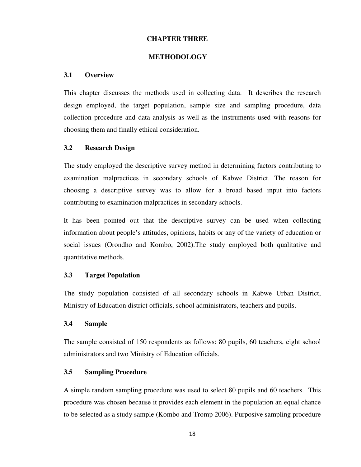## **CHAPTER THREE**

#### **METHODOLOGY**

#### **3.1 Overview**

This chapter discusses the methods used in collecting data. It describes the research design employed, the target population, sample size and sampling procedure, data collection procedure and data analysis as well as the instruments used with reasons for choosing them and finally ethical consideration.

#### **3.2 Research Design**

The study employed the descriptive survey method in determining factors contributing to examination malpractices in secondary schools of Kabwe District. The reason for choosing a descriptive survey was to allow for a broad based input into factors contributing to examination malpractices in secondary schools.

It has been pointed out that the descriptive survey can be used when collecting information about people's attitudes, opinions, habits or any of the variety of education or social issues (Orondho and Kombo, 2002).The study employed both qualitative and quantitative methods.

## **3.3 Target Population**

The study population consisted of all secondary schools in Kabwe Urban District, Ministry of Education district officials, school administrators, teachers and pupils.

#### **3.4 Sample**

The sample consisted of 150 respondents as follows: 80 pupils, 60 teachers, eight school administrators and two Ministry of Education officials.

#### **3.5 Sampling Procedure**

A simple random sampling procedure was used to select 80 pupils and 60 teachers. This procedure was chosen because it provides each element in the population an equal chance to be selected as a study sample (Kombo and Tromp 2006). Purposive sampling procedure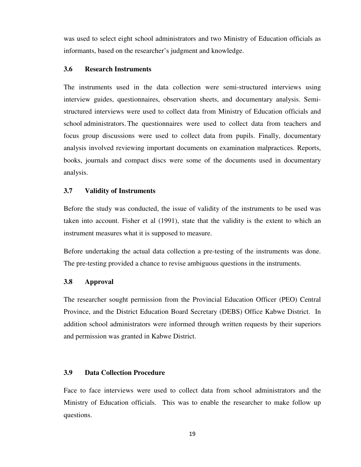was used to select eight school administrators and two Ministry of Education officials as informants, based on the researcher's judgment and knowledge.

#### **3.6 Research Instruments**

The instruments used in the data collection were semi-structured interviews using interview guides, questionnaires, observation sheets, and documentary analysis. Semistructured interviews were used to collect data from Ministry of Education officials and school administrators. The questionnaires were used to collect data from teachers and focus group discussions were used to collect data from pupils. Finally, documentary analysis involved reviewing important documents on examination malpractices. Reports, books, journals and compact discs were some of the documents used in documentary analysis.

#### **3.7 Validity of Instruments**

Before the study was conducted, the issue of validity of the instruments to be used was taken into account. Fisher et al (1991), state that the validity is the extent to which an instrument measures what it is supposed to measure.

Before undertaking the actual data collection a pre-testing of the instruments was done. The pre-testing provided a chance to revise ambiguous questions in the instruments.

## **3.8 Approval**

The researcher sought permission from the Provincial Education Officer (PEO) Central Province, and the District Education Board Secretary (DEBS) Office Kabwe District. In addition school administrators were informed through written requests by their superiors and permission was granted in Kabwe District.

#### **3.9 Data Collection Procedure**

Face to face interviews were used to collect data from school administrators and the Ministry of Education officials. This was to enable the researcher to make follow up questions.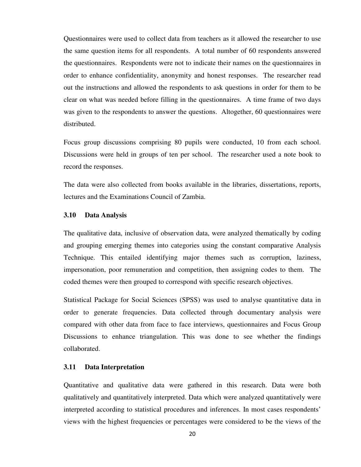Questionnaires were used to collect data from teachers as it allowed the researcher to use the same question items for all respondents. A total number of 60 respondents answered the questionnaires. Respondents were not to indicate their names on the questionnaires in order to enhance confidentiality, anonymity and honest responses. The researcher read out the instructions and allowed the respondents to ask questions in order for them to be clear on what was needed before filling in the questionnaires. A time frame of two days was given to the respondents to answer the questions. Altogether, 60 questionnaires were distributed.

Focus group discussions comprising 80 pupils were conducted, 10 from each school. Discussions were held in groups of ten per school. The researcher used a note book to record the responses.

The data were also collected from books available in the libraries, dissertations, reports, lectures and the Examinations Council of Zambia.

## **3.10 Data Analysis**

The qualitative data, inclusive of observation data, were analyzed thematically by coding and grouping emerging themes into categories using the constant comparative Analysis Technique. This entailed identifying major themes such as corruption, laziness, impersonation, poor remuneration and competition, then assigning codes to them. The coded themes were then grouped to correspond with specific research objectives.

Statistical Package for Social Sciences (SPSS) was used to analyse quantitative data in order to generate frequencies. Data collected through documentary analysis were compared with other data from face to face interviews, questionnaires and Focus Group Discussions to enhance triangulation. This was done to see whether the findings collaborated.

## **3.11 Data Interpretation**

Quantitative and qualitative data were gathered in this research. Data were both qualitatively and quantitatively interpreted. Data which were analyzed quantitatively were interpreted according to statistical procedures and inferences. In most cases respondents' views with the highest frequencies or percentages were considered to be the views of the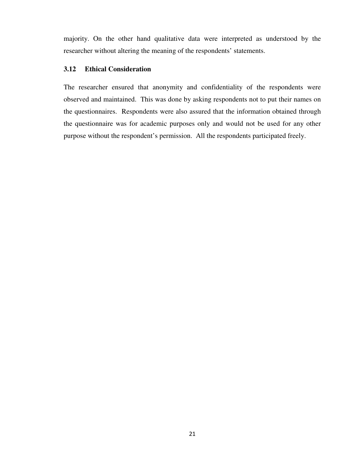majority. On the other hand qualitative data were interpreted as understood by the researcher without altering the meaning of the respondents' statements.

## **3.12 Ethical Consideration**

The researcher ensured that anonymity and confidentiality of the respondents were observed and maintained. This was done by asking respondents not to put their names on the questionnaires. Respondents were also assured that the information obtained through the questionnaire was for academic purposes only and would not be used for any other purpose without the respondent's permission. All the respondents participated freely.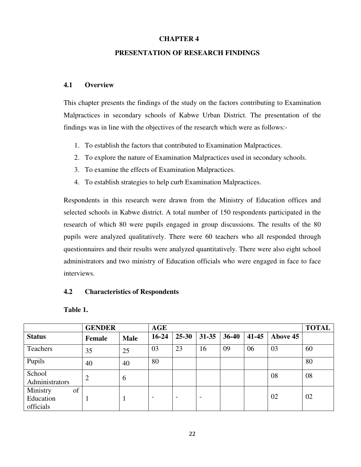# **CHAPTER 4**

# **PRESENTATION OF RESEARCH FINDINGS**

# **4.1 Overview**

This chapter presents the findings of the study on the factors contributing to Examination Malpractices in secondary schools of Kabwe Urban District. The presentation of the findings was in line with the objectives of the research which were as follows:-

- 1. To establish the factors that contributed to Examination Malpractices.
- 2. To explore the nature of Examination Malpractices used in secondary schools.
- 3. To examine the effects of Examination Malpractices.
- 4. To establish strategies to help curb Examination Malpractices.

Respondents in this research were drawn from the Ministry of Education offices and selected schools in Kabwe district. A total number of 150 respondents participated in the research of which 80 were pupils engaged in group discussions. The results of the 80 pupils were analyzed qualitatively. There were 60 teachers who all responded through questionnaires and their results were analyzed quantitatively. There were also eight school administrators and two ministry of Education officials who were engaged in face to face interviews.

# **4.2 Characteristics of Respondents**

**Table 1.** 

|                                          | <b>GENDER</b>  |             | <b>AGE</b>               |                          |                          |           |       |          | <b>TOTAL</b> |
|------------------------------------------|----------------|-------------|--------------------------|--------------------------|--------------------------|-----------|-------|----------|--------------|
| <b>Status</b>                            | Female         | <b>Male</b> | $16 - 24$                | $25 - 30$                | 31-35                    | $36 - 40$ | 41-45 | Above 45 |              |
| Teachers                                 | 35             | 25          | 03                       | 23                       | 16                       | 09        | 06    | 03       | 60           |
| Pupils                                   | 40             | 40          | 80                       |                          |                          |           |       |          | 80           |
| School<br>Administrators                 | $\overline{2}$ | 6           |                          |                          |                          |           |       | 08       | 08           |
| Ministry<br>of<br>Education<br>officials |                |             | $\overline{\phantom{0}}$ | $\overline{\phantom{a}}$ | $\overline{\phantom{a}}$ |           |       | 02       | 02           |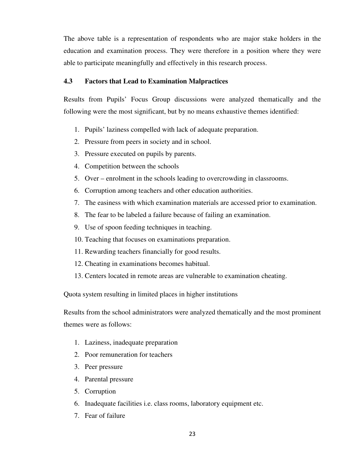The above table is a representation of respondents who are major stake holders in the education and examination process. They were therefore in a position where they were able to participate meaningfully and effectively in this research process.

## **4.3 Factors that Lead to Examination Malpractices**

Results from Pupils' Focus Group discussions were analyzed thematically and the following were the most significant, but by no means exhaustive themes identified:

- 1. Pupils' laziness compelled with lack of adequate preparation.
- 2. Pressure from peers in society and in school.
- 3. Pressure executed on pupils by parents.
- 4. Competition between the schools
- 5. Over enrolment in the schools leading to overcrowding in classrooms.
- 6. Corruption among teachers and other education authorities.
- 7. The easiness with which examination materials are accessed prior to examination.
- 8. The fear to be labeled a failure because of failing an examination.
- 9. Use of spoon feeding techniques in teaching.
- 10. Teaching that focuses on examinations preparation.
- 11. Rewarding teachers financially for good results.
- 12. Cheating in examinations becomes habitual.
- 13. Centers located in remote areas are vulnerable to examination cheating.

Quota system resulting in limited places in higher institutions

Results from the school administrators were analyzed thematically and the most prominent themes were as follows:

- 1. Laziness, inadequate preparation
- 2. Poor remuneration for teachers
- 3. Peer pressure
- 4. Parental pressure
- 5. Corruption
- 6. Inadequate facilities i.e. class rooms, laboratory equipment etc.
- 7. Fear of failure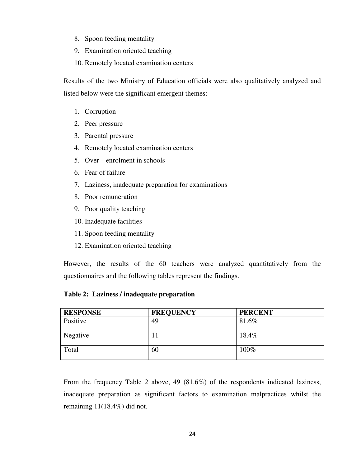- 8. Spoon feeding mentality
- 9. Examination oriented teaching
- 10. Remotely located examination centers

Results of the two Ministry of Education officials were also qualitatively analyzed and listed below were the significant emergent themes:

- 1. Corruption
- 2. Peer pressure
- 3. Parental pressure
- 4. Remotely located examination centers
- 5. Over enrolment in schools
- 6. Fear of failure
- 7. Laziness, inadequate preparation for examinations
- 8. Poor remuneration
- 9. Poor quality teaching
- 10. Inadequate facilities
- 11. Spoon feeding mentality
- 12. Examination oriented teaching

However, the results of the 60 teachers were analyzed quantitatively from the questionnaires and the following tables represent the findings.

**Table 2: Laziness / inadequate preparation** 

| <b>RESPONSE</b> | <b>FREQUENCY</b> | <b>PERCENT</b> |
|-----------------|------------------|----------------|
| Positive        | 49               | 81.6%          |
| Negative        |                  | 18.4%          |
| Total           | 60               | 100%           |

From the frequency Table 2 above, 49 (81.6%) of the respondents indicated laziness, inadequate preparation as significant factors to examination malpractices whilst the remaining 11(18.4%) did not.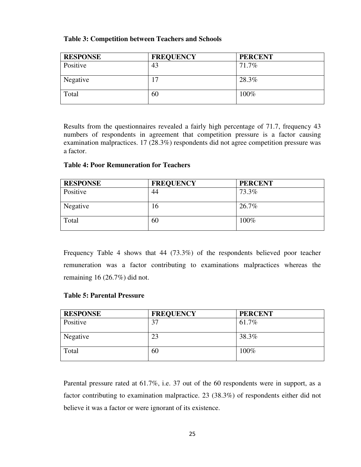# **Table 3: Competition between Teachers and Schools**

| <b>RESPONSE</b> | <b>FREQUENCY</b> | <b>PERCENT</b> |
|-----------------|------------------|----------------|
| Positive        | 43               | 71.7%          |
| Negative        | 17               | 28.3%          |
| Total           | 60               | 100%           |

Results from the questionnaires revealed a fairly high percentage of 71.7, frequency 43 numbers of respondents in agreement that competition pressure is a factor causing examination malpractices. 17 (28.3%) respondents did not agree competition pressure was a factor.

# **Table 4: Poor Remuneration for Teachers**

| <b>RESPONSE</b> | <b>FREQUENCY</b> | <b>PERCENT</b> |
|-----------------|------------------|----------------|
| Positive        | 44               | 73.3%          |
| Negative        | 16               | 26.7%          |
| Total           | 60               | 100%           |

Frequency Table 4 shows that 44 (73.3%) of the respondents believed poor teacher remuneration was a factor contributing to examinations malpractices whereas the remaining 16 (26.7%) did not.

# **Table 5: Parental Pressure**

| <b>RESPONSE</b> | <b>FREQUENCY</b> | <b>PERCENT</b> |
|-----------------|------------------|----------------|
| Positive        | 37               | 61.7%          |
| Negative        | 23               | 38.3%          |
| Total           | 60               | 100%           |

Parental pressure rated at 61.7%, i.e. 37 out of the 60 respondents were in support, as a factor contributing to examination malpractice. 23 (38.3%) of respondents either did not believe it was a factor or were ignorant of its existence.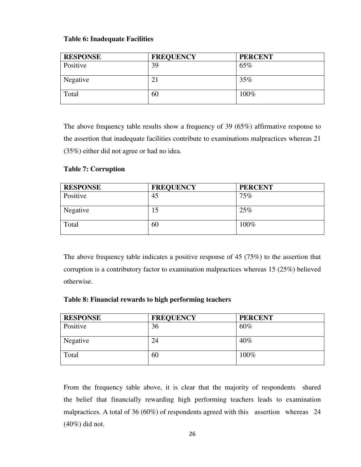# **Table 6: Inadequate Facilities**

| <b>RESPONSE</b> | <b>FREQUENCY</b> | <b>PERCENT</b> |
|-----------------|------------------|----------------|
| Positive        | 39               | 65%            |
| Negative        | 21               | 35%            |
| Total           | 60               | 100%           |

The above frequency table results show a frequency of 39 (65%) affirmative response to the assertion that inadequate facilities contribute to examinations malpractices whereas 21 (35%) either did not agree or had no idea.

# **Table 7: Corruption**

| <b>RESPONSE</b> | <b>FREQUENCY</b> | <b>PERCENT</b> |
|-----------------|------------------|----------------|
| Positive        | 45               | 75%            |
| Negative        | 15               | 25%            |
| Total           | 60               | 100%           |

The above frequency table indicates a positive response of 45 (75%) to the assertion that corruption is a contributory factor to examination malpractices whereas 15 (25%) believed otherwise.

|  |  | Table 8: Financial rewards to high performing teachers |
|--|--|--------------------------------------------------------|
|--|--|--------------------------------------------------------|

| <b>RESPONSE</b> | <b>FREQUENCY</b> | <b>PERCENT</b> |
|-----------------|------------------|----------------|
| Positive        | 36               | 60%            |
| Negative        | 24               | $40\%$         |
| Total           | 60               | 100%           |

From the frequency table above, it is clear that the majority of respondents shared the belief that financially rewarding high performing teachers leads to examination malpractices. A total of 36 (60%) of respondents agreed with this assertion whereas 24 (40%) did not.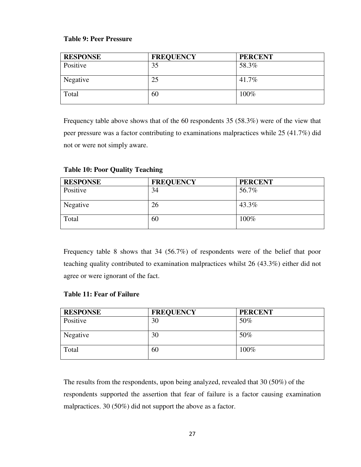# **Table 9: Peer Pressure**

| <b>RESPONSE</b> | <b>FREQUENCY</b> | <b>PERCENT</b> |
|-----------------|------------------|----------------|
| Positive        | 35               | 58.3%          |
| Negative        | 25               | 41.7%          |
| Total           | 60               | 100%           |

Frequency table above shows that of the 60 respondents 35 (58.3%) were of the view that peer pressure was a factor contributing to examinations malpractices while 25 (41.7%) did not or were not simply aware.

| <b>RESPONSE</b> | <b>FREQUENCY</b> | <b>PERCENT</b> |
|-----------------|------------------|----------------|
| Positive        | 34               | 56.7%          |
| Negative        | 26               | 43.3%          |
| Total           | 60               | 100%           |

# **Table 10: Poor Quality Teaching**

Frequency table 8 shows that 34 (56.7%) of respondents were of the belief that poor teaching quality contributed to examination malpractices whilst 26 (43.3%) either did not agree or were ignorant of the fact.

# **Table 11: Fear of Failure**

| <b>RESPONSE</b> | <b>FREQUENCY</b> | <b>PERCENT</b> |
|-----------------|------------------|----------------|
| Positive        | 30               | 50%            |
| Negative        | 30               | 50%            |
| Total           | 60               | 100%           |

The results from the respondents, upon being analyzed, revealed that 30 (50%) of the respondents supported the assertion that fear of failure is a factor causing examination malpractices. 30 (50%) did not support the above as a factor.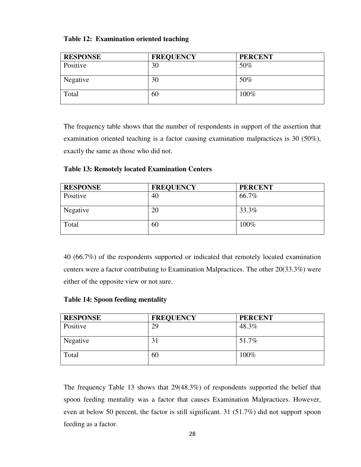|  | Table 12: Examination oriented teaching |  |  |
|--|-----------------------------------------|--|--|
|--|-----------------------------------------|--|--|

| <b>RESPONSE</b> | <b>FREQUENCY</b> | <b>PERCENT</b> |
|-----------------|------------------|----------------|
| Positive        | 30               | 50%            |
| Negative        | 30               | 50%            |
| Total           | 60               | 100%           |

The frequency table shows that the number of respondents in support of the assertion that examination oriented teaching is a factor causing examination malpractices is 30 (50%), exactly the same as those who did not.

**Table 13: Remotely located Examination Centers** 

| <b>RESPONSE</b> | <b>FREQUENCY</b> | <b>PERCENT</b> |
|-----------------|------------------|----------------|
| Positive        | 40               | 66.7%          |
| Negative        | 20               | 33.3%          |
| Total           | 60               | 100%           |

40 (66.7%) of the respondents supported or indicated that remotely located examination centers were a factor contributing to Examination Malpractices. The other 20(33.3%) were either of the opposite view or not sure.

|  |  |  | <b>Table 14: Spoon feeding mentality</b> |
|--|--|--|------------------------------------------|
|--|--|--|------------------------------------------|

| <b>RESPONSE</b> | <b>FREQUENCY</b> | <b>PERCENT</b> |
|-----------------|------------------|----------------|
| Positive        | 29               | 48.3%          |
| Negative        | 31               | 51.7%          |
| Total           | 60               | 100%           |

The frequency Table 13 shows that 29(48.3%) of respondents supported the belief that spoon feeding mentality was a factor that causes Examination Malpractices. However, even at below 50 percent, the factor is still significant. 31 (51.7%) did not support spoon feeding as a factor.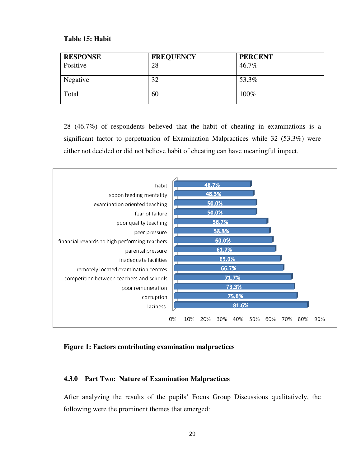## **Table 15: Habit**

| <b>RESPONSE</b> | <b>FREQUENCY</b> | <b>PERCENT</b> |
|-----------------|------------------|----------------|
| Positive        | 28               | 46.7%          |
| Negative        | 32               | 53.3%          |
| Total           | 60               | 100%           |

28 (46.7%) of respondents believed that the habit of cheating in examinations is a significant factor to perpetuation of Examination Malpractices while 32 (53.3%) were either not decided or did not believe habit of cheating can have meaningful impact.



## **Figure 1: Factors contributing examination malpractices**

#### **4.3.0 Part Two: Nature of Examination Malpractices**

After analyzing the results of the pupils' Focus Group Discussions qualitatively, the following were the prominent themes that emerged: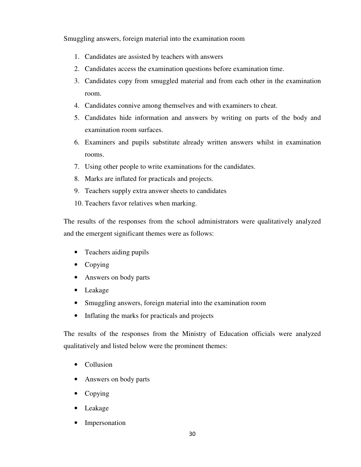Smuggling answers, foreign material into the examination room

- 1. Candidates are assisted by teachers with answers
- 2. Candidates access the examination questions before examination time.
- 3. Candidates copy from smuggled material and from each other in the examination room.
- 4. Candidates connive among themselves and with examiners to cheat.
- 5. Candidates hide information and answers by writing on parts of the body and examination room surfaces.
- 6. Examiners and pupils substitute already written answers whilst in examination rooms.
- 7. Using other people to write examinations for the candidates.
- 8. Marks are inflated for practicals and projects.
- 9. Teachers supply extra answer sheets to candidates
- 10. Teachers favor relatives when marking.

The results of the responses from the school administrators were qualitatively analyzed and the emergent significant themes were as follows:

- Teachers aiding pupils
- Copying
- Answers on body parts
- Leakage
- Smuggling answers, foreign material into the examination room
- Inflating the marks for practicals and projects

The results of the responses from the Ministry of Education officials were analyzed qualitatively and listed below were the prominent themes:

- Collusion
- Answers on body parts
- Copying
- Leakage
- Impersonation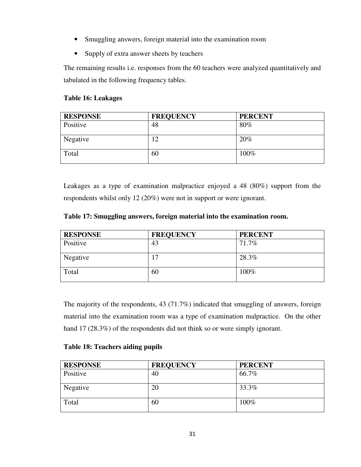- Smuggling answers, foreign material into the examination room
- Supply of extra answer sheets by teachers

The remaining results i.e. responses from the 60 teachers were analyzed quantitatively and tabulated in the following frequency tables.

# **Table 16: Leakages**

| <b>RESPONSE</b> | <b>FREQUENCY</b> | <b>PERCENT</b> |
|-----------------|------------------|----------------|
| Positive        | 48               | 80%            |
| Negative        | 12               | 20%            |
| Total           | 60               | 100%           |

Leakages as a type of examination malpractice enjoyed a 48 (80%) support from the respondents whilst only 12 (20%) were not in support or were ignorant.

|  | Table 17: Smuggling answers, foreign material into the examination room. |  |  |  |
|--|--------------------------------------------------------------------------|--|--|--|
|--|--------------------------------------------------------------------------|--|--|--|

| <b>RESPONSE</b> | <b>FREQUENCY</b> | <b>PERCENT</b> |
|-----------------|------------------|----------------|
| Positive        | 43               | 71.7%          |
| Negative        | −                | 28.3%          |
| Total           | 60               | 100%           |

The majority of the respondents, 43 (71.7%) indicated that smuggling of answers, foreign material into the examination room was a type of examination malpractice. On the other hand 17 (28.3%) of the respondents did not think so or were simply ignorant.

# **Table 18: Teachers aiding pupils**

| <b>RESPONSE</b> | <b>FREQUENCY</b> | <b>PERCENT</b> |
|-----------------|------------------|----------------|
| Positive        | 40               | 66.7%          |
| Negative        | 20               | 33.3%          |
| Total           | 60               | 100%           |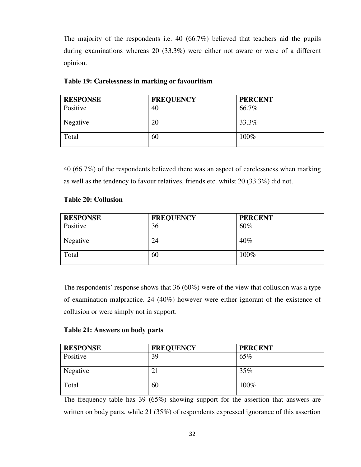The majority of the respondents i.e. 40 (66.7%) believed that teachers aid the pupils during examinations whereas 20 (33.3%) were either not aware or were of a different opinion.

| <b>RESPONSE</b> | <b>FREQUENCY</b> | <b>PERCENT</b> |
|-----------------|------------------|----------------|
| Positive        | 40               | 66.7%          |
| Negative        | 20               | 33.3%          |
| Total           | 60               | 100%           |

## **Table 19: Carelessness in marking or favouritism**

40 (66.7%) of the respondents believed there was an aspect of carelessness when marking as well as the tendency to favour relatives, friends etc. whilst 20 (33.3%) did not.

## **Table 20: Collusion**

| <b>RESPONSE</b> | <b>FREQUENCY</b> | <b>PERCENT</b> |
|-----------------|------------------|----------------|
| Positive        | 36               | 60%            |
| Negative        | 24               | $40\%$         |
| Total           | 60               | 100%           |

The respondents' response shows that 36 (60%) were of the view that collusion was a type of examination malpractice. 24 (40%) however were either ignorant of the existence of collusion or were simply not in support.

# **Table 21: Answers on body parts**

| <b>RESPONSE</b> | <b>FREQUENCY</b> | <b>PERCENT</b> |
|-----------------|------------------|----------------|
| Positive        | 39               | 65%            |
| Negative        | 21               | 35%            |
| Total           | 60               | 100%           |

The frequency table has 39 (65%) showing support for the assertion that answers are written on body parts, while 21 (35%) of respondents expressed ignorance of this assertion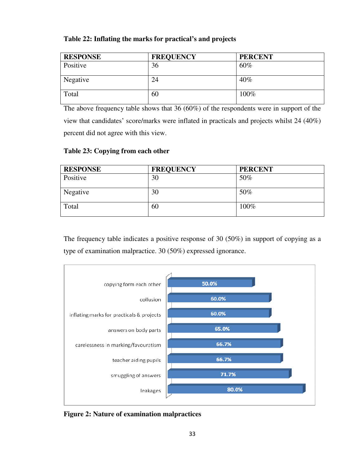# **Table 22: Inflating the marks for practical's and projects**

| <b>RESPONSE</b> | <b>FREQUENCY</b> | <b>PERCENT</b> |
|-----------------|------------------|----------------|
| Positive        | 36               | 60%            |
| Negative        | 24               | 40%            |
| Total           | 60               | 100%           |

The above frequency table shows that 36 (60%) of the respondents were in support of the view that candidates' score/marks were inflated in practicals and projects whilst 24 (40%) percent did not agree with this view.

# **Table 23: Copying from each other**

| <b>RESPONSE</b> | <b>FREQUENCY</b> | <b>PERCENT</b> |
|-----------------|------------------|----------------|
| Positive        | 30               | 50%            |
| Negative        | 30               | 50%            |
| Total           | 60               | 100%           |

The frequency table indicates a positive response of 30 (50%) in support of copying as a type of examination malpractice. 30 (50%) expressed ignorance.



**Figure 2: Nature of examination malpractices**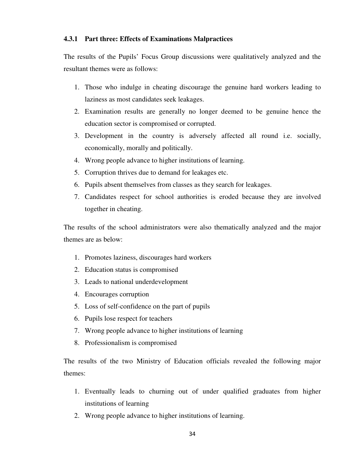## **4.3.1 Part three: Effects of Examinations Malpractices**

The results of the Pupils' Focus Group discussions were qualitatively analyzed and the resultant themes were as follows:

- 1. Those who indulge in cheating discourage the genuine hard workers leading to laziness as most candidates seek leakages.
- 2. Examination results are generally no longer deemed to be genuine hence the education sector is compromised or corrupted.
- 3. Development in the country is adversely affected all round i.e. socially, economically, morally and politically.
- 4. Wrong people advance to higher institutions of learning.
- 5. Corruption thrives due to demand for leakages etc.
- 6. Pupils absent themselves from classes as they search for leakages.
- 7. Candidates respect for school authorities is eroded because they are involved together in cheating.

The results of the school administrators were also thematically analyzed and the major themes are as below:

- 1. Promotes laziness, discourages hard workers
- 2. Education status is compromised
- 3. Leads to national underdevelopment
- 4. Encourages corruption
- 5. Loss of self-confidence on the part of pupils
- 6. Pupils lose respect for teachers
- 7. Wrong people advance to higher institutions of learning
- 8. Professionalism is compromised

The results of the two Ministry of Education officials revealed the following major themes:

- 1. Eventually leads to churning out of under qualified graduates from higher institutions of learning
- 2. Wrong people advance to higher institutions of learning.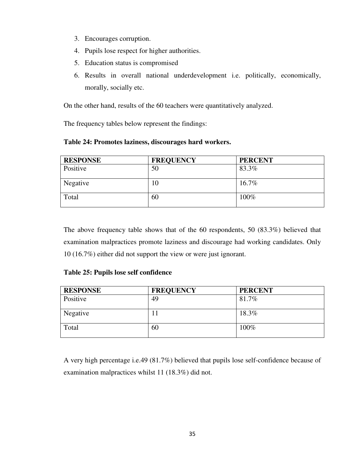- 3. Encourages corruption.
- 4. Pupils lose respect for higher authorities.
- 5. Education status is compromised
- 6. Results in overall national underdevelopment i.e. politically, economically, morally, socially etc.

On the other hand, results of the 60 teachers were quantitatively analyzed.

The frequency tables below represent the findings:

**Table 24: Promotes laziness, discourages hard workers.** 

| <b>RESPONSE</b> | <b>FREQUENCY</b> | <b>PERCENT</b> |
|-----------------|------------------|----------------|
| Positive        | 50               | 83.3%          |
| Negative        | 10               | 16.7%          |
| Total           | 60               | 100%           |

The above frequency table shows that of the 60 respondents, 50 (83.3%) believed that examination malpractices promote laziness and discourage had working candidates. Only 10 (16.7%) either did not support the view or were just ignorant.

# **Table 25: Pupils lose self confidence**

| <b>RESPONSE</b> | <b>FREQUENCY</b> | <b>PERCENT</b> |
|-----------------|------------------|----------------|
| Positive        | 49               | 81.7%          |
| Negative        |                  | 18.3%          |
| Total           | 60               | 100%           |

A very high percentage i.e.49 (81.7%) believed that pupils lose self-confidence because of examination malpractices whilst 11 (18.3%) did not.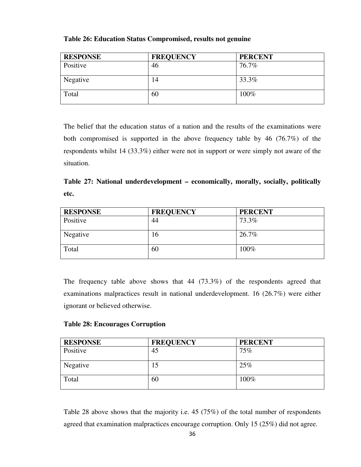| <b>RESPONSE</b> | <b>FREQUENCY</b> | <b>PERCENT</b> |
|-----------------|------------------|----------------|
| Positive        | 46               | 76.7%          |
| Negative        | 14               | 33.3%          |
| Total           | 60               | 100%           |

# **Table 26: Education Status Compromised, results not genuine**

The belief that the education status of a nation and the results of the examinations were both compromised is supported in the above frequency table by 46 (76.7%) of the respondents whilst 14 (33.3%) either were not in support or were simply not aware of the situation.

|      | Table 27: National underdevelopment – economically, morally, socially, politically |  |  |
|------|------------------------------------------------------------------------------------|--|--|
| etc. |                                                                                    |  |  |

| <b>RESPONSE</b> | <b>FREQUENCY</b> | <b>PERCENT</b> |
|-----------------|------------------|----------------|
| Positive        | 44               | 73.3%          |
| Negative        | 16               | 26.7%          |
| Total           | 60               | 100%           |

The frequency table above shows that 44 (73.3%) of the respondents agreed that examinations malpractices result in national underdevelopment. 16 (26.7%) were either ignorant or believed otherwise.

# **Table 28: Encourages Corruption**

| <b>RESPONSE</b> | <b>FREQUENCY</b> | <b>PERCENT</b> |
|-----------------|------------------|----------------|
| Positive        | 45               | 75%            |
| Negative        | 15               | 25%            |
| Total           | 60               | 100%           |

Table 28 above shows that the majority i.e. 45 (75%) of the total number of respondents agreed that examination malpractices encourage corruption. Only 15 (25%) did not agree.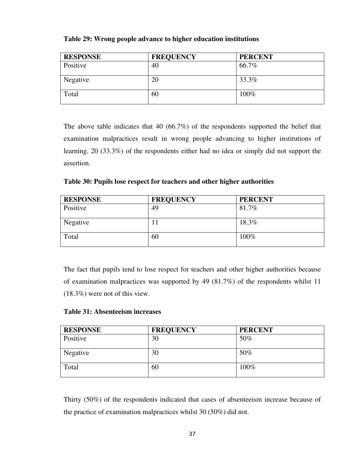| <b>RESPONSE</b> | <b>FREQUENCY</b> | <b>PERCENT</b> |
|-----------------|------------------|----------------|
| Positive        | 40               | 66.7%          |
| Negative        | 20               | 33.3%          |
| Total           | 60               | 100%           |

## **Table 29: Wrong people advance to higher education institutions**

The above table indicates that 40 (66.7%) of the respondents supported the belief that examination malpractices result in wrong people advancing to higher institutions of learning. 20 (33.3%) of the respondents either had no idea or simply did not support the assertion.

**Table 30: Pupils lose respect for teachers and other higher authorities** 

| <b>RESPONSE</b> | <b>FREQUENCY</b> | <b>PERCENT</b> |
|-----------------|------------------|----------------|
| Positive        | 49               | 81.7%          |
| Negative        | $\mathbf{L}$     | 18.3%          |
| Total           | 60               | 100%           |

The fact that pupils tend to lose respect for teachers and other higher authorities because of examination malpractices was supported by 49 (81.7%) of the respondents whilst 11 (18.3%) were not of this view.

## **Table 31: Absenteeism increases**

| <b>RESPONSE</b> | <b>FREQUENCY</b> | <b>PERCENT</b> |
|-----------------|------------------|----------------|
| Positive        | 30               | 50%            |
| Negative        | 30               | 50%            |
| Total           | 60               | 100%           |

Thirty (50%) of the respondents indicated that cases of absenteeism increase because of the practice of examination malpractices whilst 30 (50%) did not.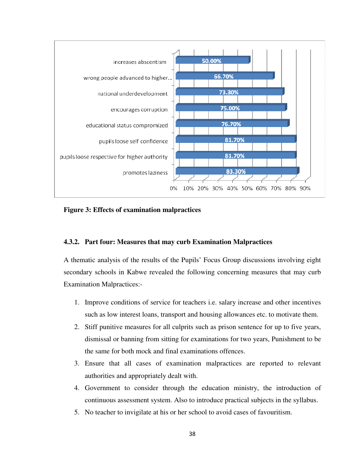

**Figure 3: Effects of examination malpractices** 

### **4.3.2. Part four: Measures that may curb Examination Malpractices**

A thematic analysis of the results of the Pupils' Focus Group discussions involving eight secondary schools in Kabwe revealed the following concerning measures that may curb Examination Malpractices:-

- 1. Improve conditions of service for teachers i.e. salary increase and other incentives such as low interest loans, transport and housing allowances etc. to motivate them.
- 2. Stiff punitive measures for all culprits such as prison sentence for up to five years, dismissal or banning from sitting for examinations for two years, Punishment to be the same for both mock and final examinations offences.
- 3. Ensure that all cases of examination malpractices are reported to relevant authorities and appropriately dealt with.
- 4. Government to consider through the education ministry, the introduction of continuous assessment system. Also to introduce practical subjects in the syllabus.
- 5. No teacher to invigilate at his or her school to avoid cases of favouritism.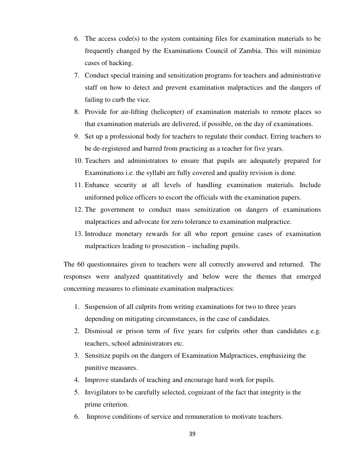- 6. The access code(s) to the system containing files for examination materials to be frequently changed by the Examinations Council of Zambia. This will minimize cases of hacking.
- 7. Conduct special training and sensitization programs for teachers and administrative staff on how to detect and prevent examination malpractices and the dangers of failing to curb the vice.
- 8. Provide for air-lifting (helicopter) of examination materials to remote places so that examination materials are delivered, if possible, on the day of examinations.
- 9. Set up a professional body for teachers to regulate their conduct. Erring teachers to be de-registered and barred from practicing as a teacher for five years.
- 10. Teachers and administrators to ensure that pupils are adequately prepared for Examinations i.e. the syllabi are fully covered and quality revision is done.
- 11. Enhance security at all levels of handling examination materials. Include uniformed police officers to escort the officials with the examination papers.
- 12. The government to conduct mass sensitization on dangers of examinations malpractices and advocate for zero tolerance to examination malpractice.
- 13. Introduce monetary rewards for all who report genuine cases of examination malpractices leading to prosecution – including pupils.

The 60 questionnaires given to teachers were all correctly answered and returned. The responses were analyzed quantitatively and below were the themes that emerged concerning measures to eliminate examination malpractices:

- 1. Suspension of all culprits from writing examinations for two to three years depending on mitigating circumstances, in the case of candidates.
- 2. Dismissal or prison term of five years for culprits other than candidates e.g. teachers, school administrators etc.
- 3. Sensitize pupils on the dangers of Examination Malpractices, emphasizing the punitive measures.
- 4. Improve standards of teaching and encourage hard work for pupils.
- 5. Invigilators to be carefully selected, cognizant of the fact that integrity is the prime criterion.
- 6. Improve conditions of service and remuneration to motivate teachers.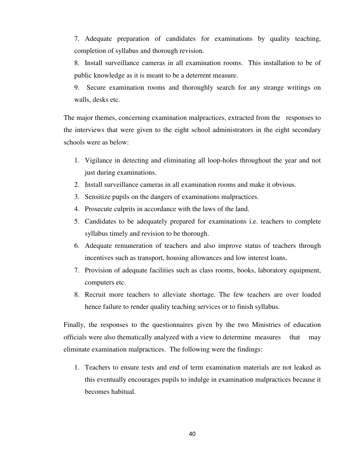7. Adequate preparation of candidates for examinations by quality teaching, completion of syllabus and thorough revision.

8. Install surveillance cameras in all examination rooms. This installation to be of public knowledge as it is meant to be a deterrent measure.

9. Secure examination rooms and thoroughly search for any strange writings on walls, desks etc.

The major themes, concerning examination malpractices, extracted from the responses to the interviews that were given to the eight school administrators in the eight secondary schools were as below:

- 1. Vigilance in detecting and eliminating all loop-holes throughout the year and not just during examinations.
- 2. Install surveillance cameras in all examination rooms and make it obvious.
- 3. Sensitize pupils on the dangers of examinations malpractices.
- 4. Prosecute culprits in accordance with the laws of the land.
- 5. Candidates to be adequately prepared for examinations i.e. teachers to complete syllabus timely and revision to be thorough.
- 6. Adequate remuneration of teachers and also improve status of teachers through incentives such as transport, housing allowances and low interest loans.
- 7. Provision of adequate facilities such as class rooms, books, laboratory equipment, computers etc.
- 8. Recruit more teachers to alleviate shortage. The few teachers are over loaded hence failure to render quality teaching services or to finish syllabus.

Finally, the responses to the questionnaires given by the two Ministries of education officials were also thematically analyzed with a view to determine measures that may eliminate examination malpractices. The following were the findings:

1. Teachers to ensure tests and end of term examination materials are not leaked as this eventually encourages pupils to indulge in examination malpractices because it becomes habitual.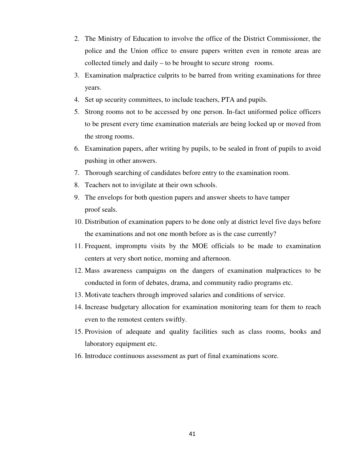- 2. The Ministry of Education to involve the office of the District Commissioner, the police and the Union office to ensure papers written even in remote areas are collected timely and daily – to be brought to secure strong rooms.
- 3. Examination malpractice culprits to be barred from writing examinations for three years.
- 4. Set up security committees, to include teachers, PTA and pupils.
- 5. Strong rooms not to be accessed by one person. In-fact uniformed police officers to be present every time examination materials are being locked up or moved from the strong rooms.
- 6. Examination papers, after writing by pupils, to be sealed in front of pupils to avoid pushing in other answers.
- 7. Thorough searching of candidates before entry to the examination room.
- 8. Teachers not to invigilate at their own schools.
- 9. The envelops for both question papers and answer sheets to have tamper proof seals.
- 10. Distribution of examination papers to be done only at district level five days before the examinations and not one month before as is the case currently?
- 11. Frequent, impromptu visits by the MOE officials to be made to examination centers at very short notice, morning and afternoon.
- 12. Mass awareness campaigns on the dangers of examination malpractices to be conducted in form of debates, drama, and community radio programs etc.
- 13. Motivate teachers through improved salaries and conditions of service.
- 14. Increase budgetary allocation for examination monitoring team for them to reach even to the remotest centers swiftly.
- 15. Provision of adequate and quality facilities such as class rooms, books and laboratory equipment etc.
- 16. Introduce continuous assessment as part of final examinations score.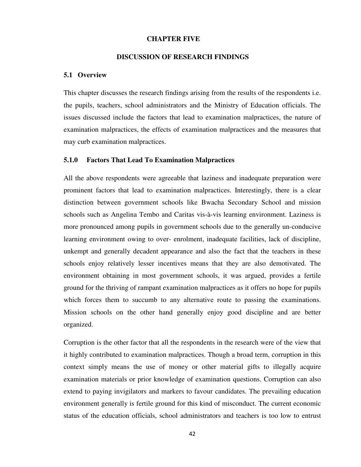### **CHAPTER FIVE**

### **DISCUSSION OF RESEARCH FINDINGS**

#### **5.1 Overview**

This chapter discusses the research findings arising from the results of the respondents i.e. the pupils, teachers, school administrators and the Ministry of Education officials. The issues discussed include the factors that lead to examination malpractices, the nature of examination malpractices, the effects of examination malpractices and the measures that may curb examination malpractices.

#### **5.1.0 Factors That Lead To Examination Malpractices**

All the above respondents were agreeable that laziness and inadequate preparation were prominent factors that lead to examination malpractices. Interestingly, there is a clear distinction between government schools like Bwacha Secondary School and mission schools such as Angelina Tembo and Caritas vis-à-vis learning environment. Laziness is more pronounced among pupils in government schools due to the generally un-conducive learning environment owing to over- enrolment, inadequate facilities, lack of discipline, unkempt and generally decadent appearance and also the fact that the teachers in these schools enjoy relatively lesser incentives means that they are also demotivated. The environment obtaining in most government schools, it was argued, provides a fertile ground for the thriving of rampant examination malpractices as it offers no hope for pupils which forces them to succumb to any alternative route to passing the examinations. Mission schools on the other hand generally enjoy good discipline and are better organized.

Corruption is the other factor that all the respondents in the research were of the view that it highly contributed to examination malpractices. Though a broad term, corruption in this context simply means the use of money or other material gifts to illegally acquire examination materials or prior knowledge of examination questions. Corruption can also extend to paying invigilators and markers to favour candidates. The prevailing education environment generally is fertile ground for this kind of misconduct. The current economic status of the education officials, school administrators and teachers is too low to entrust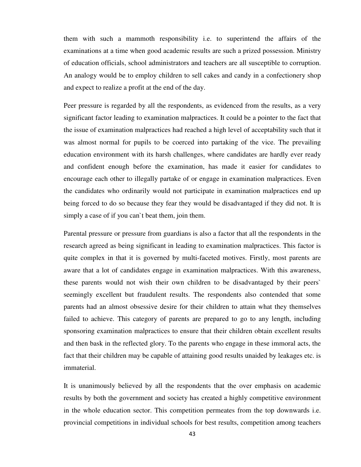them with such a mammoth responsibility i.e. to superintend the affairs of the examinations at a time when good academic results are such a prized possession. Ministry of education officials, school administrators and teachers are all susceptible to corruption. An analogy would be to employ children to sell cakes and candy in a confectionery shop and expect to realize a profit at the end of the day.

Peer pressure is regarded by all the respondents, as evidenced from the results, as a very significant factor leading to examination malpractices. It could be a pointer to the fact that the issue of examination malpractices had reached a high level of acceptability such that it was almost normal for pupils to be coerced into partaking of the vice. The prevailing education environment with its harsh challenges, where candidates are hardly ever ready and confident enough before the examination, has made it easier for candidates to encourage each other to illegally partake of or engage in examination malpractices. Even the candidates who ordinarily would not participate in examination malpractices end up being forced to do so because they fear they would be disadvantaged if they did not. It is simply a case of if you can`t beat them, join them.

Parental pressure or pressure from guardians is also a factor that all the respondents in the research agreed as being significant in leading to examination malpractices. This factor is quite complex in that it is governed by multi-faceted motives. Firstly, most parents are aware that a lot of candidates engage in examination malpractices. With this awareness, these parents would not wish their own children to be disadvantaged by their peers` seemingly excellent but fraudulent results. The respondents also contended that some parents had an almost obsessive desire for their children to attain what they themselves failed to achieve. This category of parents are prepared to go to any length, including sponsoring examination malpractices to ensure that their children obtain excellent results and then bask in the reflected glory. To the parents who engage in these immoral acts, the fact that their children may be capable of attaining good results unaided by leakages etc. is immaterial.

It is unanimously believed by all the respondents that the over emphasis on academic results by both the government and society has created a highly competitive environment in the whole education sector. This competition permeates from the top downwards i.e. provincial competitions in individual schools for best results, competition among teachers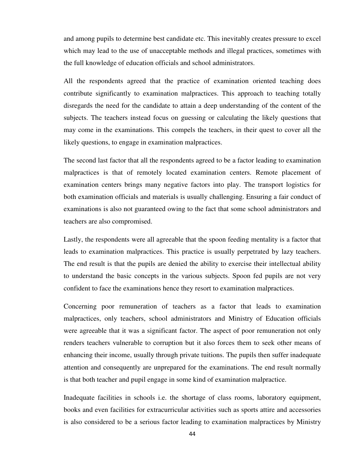and among pupils to determine best candidate etc. This inevitably creates pressure to excel which may lead to the use of unacceptable methods and illegal practices, sometimes with the full knowledge of education officials and school administrators.

All the respondents agreed that the practice of examination oriented teaching does contribute significantly to examination malpractices. This approach to teaching totally disregards the need for the candidate to attain a deep understanding of the content of the subjects. The teachers instead focus on guessing or calculating the likely questions that may come in the examinations. This compels the teachers, in their quest to cover all the likely questions, to engage in examination malpractices.

The second last factor that all the respondents agreed to be a factor leading to examination malpractices is that of remotely located examination centers. Remote placement of examination centers brings many negative factors into play. The transport logistics for both examination officials and materials is usually challenging. Ensuring a fair conduct of examinations is also not guaranteed owing to the fact that some school administrators and teachers are also compromised.

Lastly, the respondents were all agreeable that the spoon feeding mentality is a factor that leads to examination malpractices. This practice is usually perpetrated by lazy teachers. The end result is that the pupils are denied the ability to exercise their intellectual ability to understand the basic concepts in the various subjects. Spoon fed pupils are not very confident to face the examinations hence they resort to examination malpractices.

Concerning poor remuneration of teachers as a factor that leads to examination malpractices, only teachers, school administrators and Ministry of Education officials were agreeable that it was a significant factor. The aspect of poor remuneration not only renders teachers vulnerable to corruption but it also forces them to seek other means of enhancing their income, usually through private tuitions. The pupils then suffer inadequate attention and consequently are unprepared for the examinations. The end result normally is that both teacher and pupil engage in some kind of examination malpractice.

Inadequate facilities in schools i.e. the shortage of class rooms, laboratory equipment, books and even facilities for extracurricular activities such as sports attire and accessories is also considered to be a serious factor leading to examination malpractices by Ministry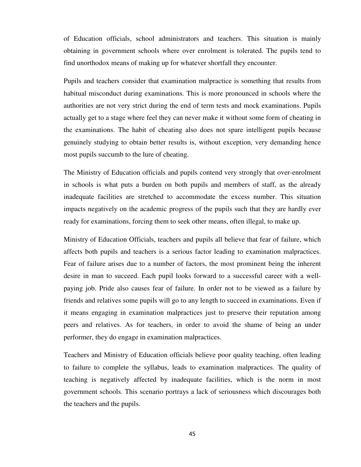of Education officials, school administrators and teachers. This situation is mainly obtaining in government schools where over enrolment is tolerated. The pupils tend to find unorthodox means of making up for whatever shortfall they encounter.

Pupils and teachers consider that examination malpractice is something that results from habitual misconduct during examinations. This is more pronounced in schools where the authorities are not very strict during the end of term tests and mock examinations. Pupils actually get to a stage where feel they can never make it without some form of cheating in the examinations. The habit of cheating also does not spare intelligent pupils because genuinely studying to obtain better results is, without exception, very demanding hence most pupils succumb to the lure of cheating.

The Ministry of Education officials and pupils contend very strongly that over-enrolment in schools is what puts a burden on both pupils and members of staff, as the already inadequate facilities are stretched to accommodate the excess number. This situation impacts negatively on the academic progress of the pupils such that they are hardly ever ready for examinations, forcing them to seek other means, often illegal, to make up.

Ministry of Education Officials, teachers and pupils all believe that fear of failure, which affects both pupils and teachers is a serious factor leading to examination malpractices. Fear of failure arises due to a number of factors, the most prominent being the inherent desire in man to succeed. Each pupil looks forward to a successful career with a wellpaying job. Pride also causes fear of failure. In order not to be viewed as a failure by friends and relatives some pupils will go to any length to succeed in examinations. Even if it means engaging in examination malpractices just to preserve their reputation among peers and relatives. As for teachers, in order to avoid the shame of being an under performer, they do engage in examination malpractices.

Teachers and Ministry of Education officials believe poor quality teaching, often leading to failure to complete the syllabus, leads to examination malpractices. The quality of teaching is negatively affected by inadequate facilities, which is the norm in most government schools. This scenario portrays a lack of seriousness which discourages both the teachers and the pupils.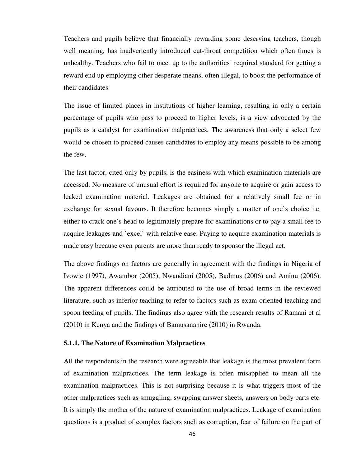Teachers and pupils believe that financially rewarding some deserving teachers, though well meaning, has inadvertently introduced cut-throat competition which often times is unhealthy. Teachers who fail to meet up to the authorities` required standard for getting a reward end up employing other desperate means, often illegal, to boost the performance of their candidates.

The issue of limited places in institutions of higher learning, resulting in only a certain percentage of pupils who pass to proceed to higher levels, is a view advocated by the pupils as a catalyst for examination malpractices. The awareness that only a select few would be chosen to proceed causes candidates to employ any means possible to be among the few.

The last factor, cited only by pupils, is the easiness with which examination materials are accessed. No measure of unusual effort is required for anyone to acquire or gain access to leaked examination material. Leakages are obtained for a relatively small fee or in exchange for sexual favours. It therefore becomes simply a matter of one`s choice i.e. either to crack one`s head to legitimately prepare for examinations or to pay a small fee to acquire leakages and `excel` with relative ease. Paying to acquire examination materials is made easy because even parents are more than ready to sponsor the illegal act.

The above findings on factors are generally in agreement with the findings in Nigeria of Ivowie (1997), Awambor (2005), Nwandiani (2005), Badmus (2006) and Aminu (2006). The apparent differences could be attributed to the use of broad terms in the reviewed literature, such as inferior teaching to refer to factors such as exam oriented teaching and spoon feeding of pupils. The findings also agree with the research results of Ramani et al (2010) in Kenya and the findings of Bamusananire (2010) in Rwanda.

### **5.1.1. The Nature of Examination Malpractices**

All the respondents in the research were agreeable that leakage is the most prevalent form of examination malpractices. The term leakage is often misapplied to mean all the examination malpractices. This is not surprising because it is what triggers most of the other malpractices such as smuggling, swapping answer sheets, answers on body parts etc. It is simply the mother of the nature of examination malpractices. Leakage of examination questions is a product of complex factors such as corruption, fear of failure on the part of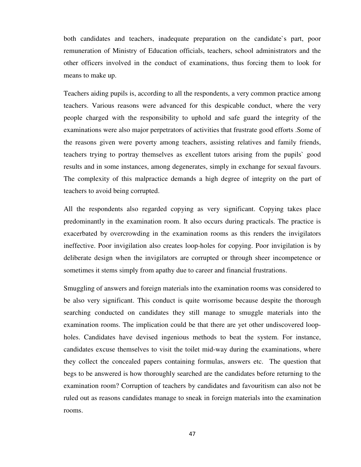both candidates and teachers, inadequate preparation on the candidate`s part, poor remuneration of Ministry of Education officials, teachers, school administrators and the other officers involved in the conduct of examinations, thus forcing them to look for means to make up.

Teachers aiding pupils is, according to all the respondents, a very common practice among teachers. Various reasons were advanced for this despicable conduct, where the very people charged with the responsibility to uphold and safe guard the integrity of the examinations were also major perpetrators of activities that frustrate good efforts .Some of the reasons given were poverty among teachers, assisting relatives and family friends, teachers trying to portray themselves as excellent tutors arising from the pupils` good results and in some instances, among degenerates, simply in exchange for sexual favours. The complexity of this malpractice demands a high degree of integrity on the part of teachers to avoid being corrupted.

All the respondents also regarded copying as very significant. Copying takes place predominantly in the examination room. It also occurs during practicals. The practice is exacerbated by overcrowding in the examination rooms as this renders the invigilators ineffective. Poor invigilation also creates loop-holes for copying. Poor invigilation is by deliberate design when the invigilators are corrupted or through sheer incompetence or sometimes it stems simply from apathy due to career and financial frustrations.

Smuggling of answers and foreign materials into the examination rooms was considered to be also very significant. This conduct is quite worrisome because despite the thorough searching conducted on candidates they still manage to smuggle materials into the examination rooms. The implication could be that there are yet other undiscovered loopholes. Candidates have devised ingenious methods to beat the system. For instance, candidates excuse themselves to visit the toilet mid-way during the examinations, where they collect the concealed papers containing formulas, answers etc. The question that begs to be answered is how thoroughly searched are the candidates before returning to the examination room? Corruption of teachers by candidates and favouritism can also not be ruled out as reasons candidates manage to sneak in foreign materials into the examination rooms.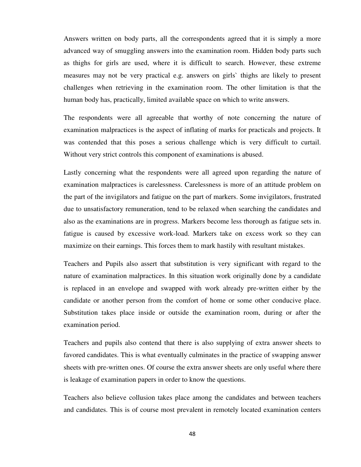Answers written on body parts, all the correspondents agreed that it is simply a more advanced way of smuggling answers into the examination room. Hidden body parts such as thighs for girls are used, where it is difficult to search. However, these extreme measures may not be very practical e.g. answers on girls` thighs are likely to present challenges when retrieving in the examination room. The other limitation is that the human body has, practically, limited available space on which to write answers.

The respondents were all agreeable that worthy of note concerning the nature of examination malpractices is the aspect of inflating of marks for practicals and projects. It was contended that this poses a serious challenge which is very difficult to curtail. Without very strict controls this component of examinations is abused.

Lastly concerning what the respondents were all agreed upon regarding the nature of examination malpractices is carelessness. Carelessness is more of an attitude problem on the part of the invigilators and fatigue on the part of markers. Some invigilators, frustrated due to unsatisfactory remuneration, tend to be relaxed when searching the candidates and also as the examinations are in progress. Markers become less thorough as fatigue sets in. fatigue is caused by excessive work-load. Markers take on excess work so they can maximize on their earnings. This forces them to mark hastily with resultant mistakes.

Teachers and Pupils also assert that substitution is very significant with regard to the nature of examination malpractices. In this situation work originally done by a candidate is replaced in an envelope and swapped with work already pre-written either by the candidate or another person from the comfort of home or some other conducive place. Substitution takes place inside or outside the examination room, during or after the examination period.

Teachers and pupils also contend that there is also supplying of extra answer sheets to favored candidates. This is what eventually culminates in the practice of swapping answer sheets with pre-written ones. Of course the extra answer sheets are only useful where there is leakage of examination papers in order to know the questions.

Teachers also believe collusion takes place among the candidates and between teachers and candidates. This is of course most prevalent in remotely located examination centers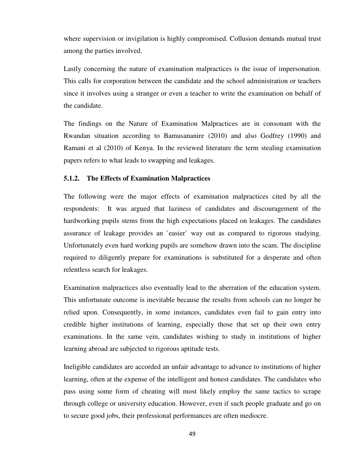where supervision or invigilation is highly compromised. Collusion demands mutual trust among the parties involved.

Lastly concerning the nature of examination malpractices is the issue of impersonation. This calls for corporation between the candidate and the school administration or teachers since it involves using a stranger or even a teacher to write the examination on behalf of the candidate.

The findings on the Nature of Examination Malpractices are in consonant with the Rwandan situation according to Bamusananire (2010) and also Godfrey (1990) and Ramani et al (2010) of Kenya. In the reviewed literature the term stealing examination papers refers to what leads to swapping and leakages.

### **5.1.2. The Effects of Examination Malpractices**

The following were the major effects of examination malpractices cited by all the respondents: It was argued that laziness of candidates and discouragement of the hardworking pupils stems from the high expectations placed on leakages. The candidates assurance of leakage provides an `easier` way out as compared to rigorous studying. Unfortunately even hard working pupils are somehow drawn into the scam. The discipline required to diligently prepare for examinations is substituted for a desperate and often relentless search for leakages.

Examination malpractices also eventually lead to the aberration of the education system. This unfortunate outcome is inevitable because the results from schools can no longer be relied upon. Consequently, in some instances, candidates even fail to gain entry into credible higher institutions of learning, especially those that set up their own entry examinations. In the same vein, candidates wishing to study in institutions of higher learning abroad are subjected to rigorous aptitude tests.

Ineligible candidates are accorded an unfair advantage to advance to institutions of higher learning, often at the expense of the intelligent and honest candidates. The candidates who pass using some form of cheating will most likely employ the same tactics to scrape through college or university education. However, even if such people graduate and go on to secure good jobs, their professional performances are often mediocre.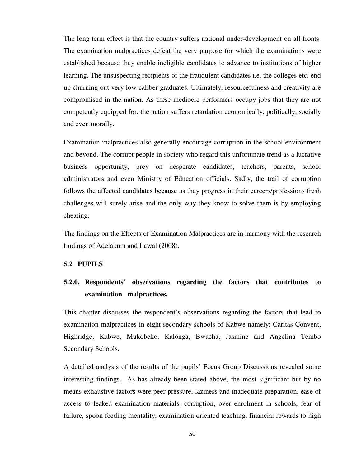The long term effect is that the country suffers national under-development on all fronts. The examination malpractices defeat the very purpose for which the examinations were established because they enable ineligible candidates to advance to institutions of higher learning. The unsuspecting recipients of the fraudulent candidates i.e. the colleges etc. end up churning out very low caliber graduates. Ultimately, resourcefulness and creativity are compromised in the nation. As these mediocre performers occupy jobs that they are not competently equipped for, the nation suffers retardation economically, politically, socially and even morally.

Examination malpractices also generally encourage corruption in the school environment and beyond. The corrupt people in society who regard this unfortunate trend as a lucrative business opportunity, prey on desperate candidates, teachers, parents, school administrators and even Ministry of Education officials. Sadly, the trail of corruption follows the affected candidates because as they progress in their careers/professions fresh challenges will surely arise and the only way they know to solve them is by employing cheating.

The findings on the Effects of Examination Malpractices are in harmony with the research findings of Adelakum and Lawal (2008).

### **5.2 PUPILS**

# **5.2.0. Respondents' observations regarding the factors that contributes to examination malpractices.**

This chapter discusses the respondent's observations regarding the factors that lead to examination malpractices in eight secondary schools of Kabwe namely: Caritas Convent, Highridge, Kabwe, Mukobeko, Kalonga, Bwacha, Jasmine and Angelina Tembo Secondary Schools.

A detailed analysis of the results of the pupils' Focus Group Discussions revealed some interesting findings. As has already been stated above, the most significant but by no means exhaustive factors were peer pressure, laziness and inadequate preparation, ease of access to leaked examination materials, corruption, over enrolment in schools, fear of failure, spoon feeding mentality, examination oriented teaching, financial rewards to high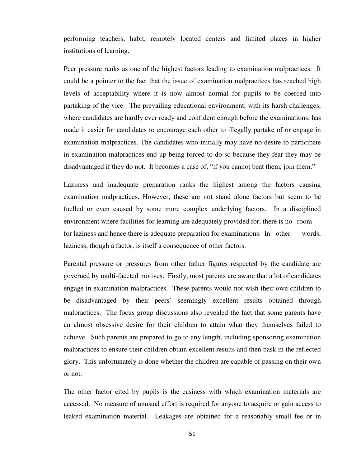performing teachers, habit, remotely located centers and limited places in higher institutions of learning.

Peer pressure ranks as one of the highest factors leading to examination malpractices. It could be a pointer to the fact that the issue of examination malpractices has reached high levels of acceptability where it is now almost normal for pupils to be coerced into partaking of the vice. The prevailing educational environment, with its harsh challenges, where candidates are hardly ever ready and confident enough before the examinations, has made it easier for candidates to encourage each other to illegally partake of or engage in examination malpractices. The candidates who initially may have no desire to participate in examination malpractices end up being forced to do so because they fear they may be disadvantaged if they do not. It becomes a case of, "if you cannot beat them, join them."

Laziness and inadequate preparation ranks the highest among the factors causing examination malpractices. However, these are not stand alone factors but seem to be fuelled or even caused by some more complex underlying factors. In a disciplined environment where facilities for learning are adequately provided for, there is no room for laziness and hence there is adequate preparation for examinations. In other words, laziness, though a factor, is itself a consequence of other factors.

Parental pressure or pressures from other father figures respected by the candidate are governed by multi-faceted motives. Firstly, most parents are aware that a lot of candidates engage in examination malpractices. These parents would not wish their own children to be disadvantaged by their peers` seemingly excellent results obtained through malpractices. The focus group discussions also revealed the fact that some parents have an almost obsessive desire for their children to attain what they themselves failed to achieve. Such parents are prepared to go to any length, including sponsoring examination malpractices to ensure their children obtain excellent results and then bask in the reflected glory. This unfortunately is done whether the children are capable of passing on their own or not.

The other factor cited by pupils is the easiness with which examination materials are accessed. No measure of unusual effort is required for anyone to acquire or gain access to leaked examination material. Leakages are obtained for a reasonably small fee or in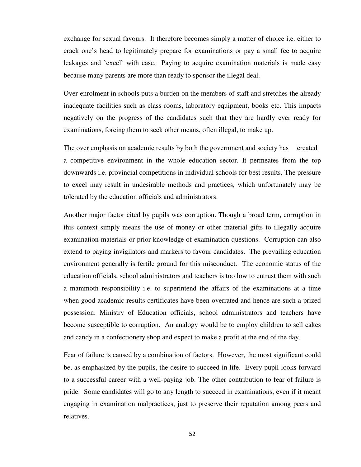exchange for sexual favours. It therefore becomes simply a matter of choice i.e. either to crack one's head to legitimately prepare for examinations or pay a small fee to acquire leakages and `excel` with ease. Paying to acquire examination materials is made easy because many parents are more than ready to sponsor the illegal deal.

Over-enrolment in schools puts a burden on the members of staff and stretches the already inadequate facilities such as class rooms, laboratory equipment, books etc. This impacts negatively on the progress of the candidates such that they are hardly ever ready for examinations, forcing them to seek other means, often illegal, to make up.

The over emphasis on academic results by both the government and society has created a competitive environment in the whole education sector. It permeates from the top downwards i.e. provincial competitions in individual schools for best results. The pressure to excel may result in undesirable methods and practices, which unfortunately may be tolerated by the education officials and administrators.

Another major factor cited by pupils was corruption. Though a broad term, corruption in this context simply means the use of money or other material gifts to illegally acquire examination materials or prior knowledge of examination questions. Corruption can also extend to paying invigilators and markers to favour candidates. The prevailing education environment generally is fertile ground for this misconduct. The economic status of the education officials, school administrators and teachers is too low to entrust them with such a mammoth responsibility i.e. to superintend the affairs of the examinations at a time when good academic results certificates have been overrated and hence are such a prized possession. Ministry of Education officials, school administrators and teachers have become susceptible to corruption. An analogy would be to employ children to sell cakes and candy in a confectionery shop and expect to make a profit at the end of the day.

Fear of failure is caused by a combination of factors. However, the most significant could be, as emphasized by the pupils, the desire to succeed in life. Every pupil looks forward to a successful career with a well-paying job. The other contribution to fear of failure is pride. Some candidates will go to any length to succeed in examinations, even if it meant engaging in examination malpractices, just to preserve their reputation among peers and relatives.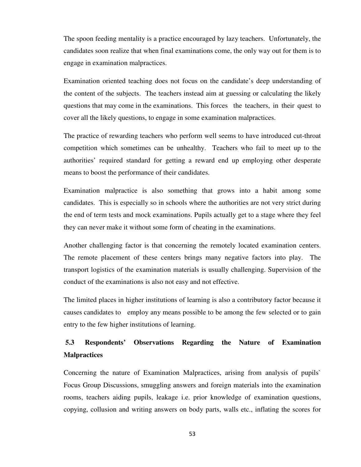The spoon feeding mentality is a practice encouraged by lazy teachers. Unfortunately, the candidates soon realize that when final examinations come, the only way out for them is to engage in examination malpractices.

Examination oriented teaching does not focus on the candidate's deep understanding of the content of the subjects. The teachers instead aim at guessing or calculating the likely questions that may come in the examinations. This forces the teachers, in their quest to cover all the likely questions, to engage in some examination malpractices.

The practice of rewarding teachers who perform well seems to have introduced cut-throat competition which sometimes can be unhealthy. Teachers who fail to meet up to the authorities' required standard for getting a reward end up employing other desperate means to boost the performance of their candidates.

Examination malpractice is also something that grows into a habit among some candidates. This is especially so in schools where the authorities are not very strict during the end of term tests and mock examinations. Pupils actually get to a stage where they feel they can never make it without some form of cheating in the examinations.

Another challenging factor is that concerning the remotely located examination centers. The remote placement of these centers brings many negative factors into play. The transport logistics of the examination materials is usually challenging. Supervision of the conduct of the examinations is also not easy and not effective.

The limited places in higher institutions of learning is also a contributory factor because it causes candidates to employ any means possible to be among the few selected or to gain entry to the few higher institutions of learning.

# **5.3 Respondents' Observations Regarding the Nature of Examination Malpractices**

Concerning the nature of Examination Malpractices, arising from analysis of pupils` Focus Group Discussions, smuggling answers and foreign materials into the examination rooms, teachers aiding pupils, leakage i.e. prior knowledge of examination questions, copying, collusion and writing answers on body parts, walls etc., inflating the scores for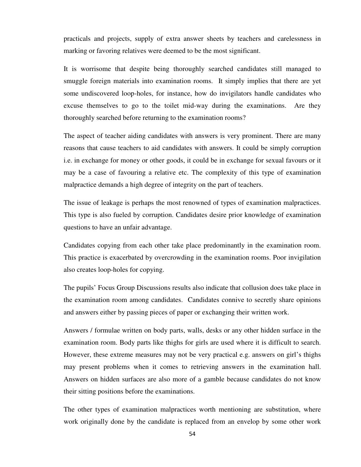practicals and projects, supply of extra answer sheets by teachers and carelessness in marking or favoring relatives were deemed to be the most significant.

It is worrisome that despite being thoroughly searched candidates still managed to smuggle foreign materials into examination rooms. It simply implies that there are yet some undiscovered loop-holes, for instance, how do invigilators handle candidates who excuse themselves to go to the toilet mid-way during the examinations. Are they thoroughly searched before returning to the examination rooms?

The aspect of teacher aiding candidates with answers is very prominent. There are many reasons that cause teachers to aid candidates with answers. It could be simply corruption i.e. in exchange for money or other goods, it could be in exchange for sexual favours or it may be a case of favouring a relative etc. The complexity of this type of examination malpractice demands a high degree of integrity on the part of teachers.

The issue of leakage is perhaps the most renowned of types of examination malpractices. This type is also fueled by corruption. Candidates desire prior knowledge of examination questions to have an unfair advantage.

Candidates copying from each other take place predominantly in the examination room. This practice is exacerbated by overcrowding in the examination rooms. Poor invigilation also creates loop-holes for copying.

The pupils' Focus Group Discussions results also indicate that collusion does take place in the examination room among candidates. Candidates connive to secretly share opinions and answers either by passing pieces of paper or exchanging their written work.

Answers / formulae written on body parts, walls, desks or any other hidden surface in the examination room. Body parts like thighs for girls are used where it is difficult to search. However, these extreme measures may not be very practical e.g. answers on girl's thighs may present problems when it comes to retrieving answers in the examination hall. Answers on hidden surfaces are also more of a gamble because candidates do not know their sitting positions before the examinations.

The other types of examination malpractices worth mentioning are substitution, where work originally done by the candidate is replaced from an envelop by some other work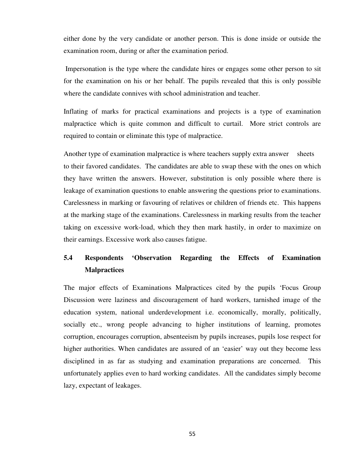either done by the very candidate or another person. This is done inside or outside the examination room, during or after the examination period.

 Impersonation is the type where the candidate hires or engages some other person to sit for the examination on his or her behalf. The pupils revealed that this is only possible where the candidate connives with school administration and teacher.

Inflating of marks for practical examinations and projects is a type of examination malpractice which is quite common and difficult to curtail. More strict controls are required to contain or eliminate this type of malpractice.

Another type of examination malpractice is where teachers supply extra answer sheets to their favored candidates. The candidates are able to swap these with the ones on which they have written the answers. However, substitution is only possible where there is leakage of examination questions to enable answering the questions prior to examinations. Carelessness in marking or favouring of relatives or children of friends etc. This happens at the marking stage of the examinations. Carelessness in marking results from the teacher taking on excessive work-load, which they then mark hastily, in order to maximize on their earnings. Excessive work also causes fatigue.

# **5.4 Respondents 'Observation Regarding the Effects of Examination Malpractices**

The major effects of Examinations Malpractices cited by the pupils 'Focus Group Discussion were laziness and discouragement of hard workers, tarnished image of the education system, national underdevelopment i.e. economically, morally, politically, socially etc., wrong people advancing to higher institutions of learning, promotes corruption, encourages corruption, absenteeism by pupils increases, pupils lose respect for higher authorities. When candidates are assured of an 'easier' way out they become less disciplined in as far as studying and examination preparations are concerned. This unfortunately applies even to hard working candidates. All the candidates simply become lazy, expectant of leakages.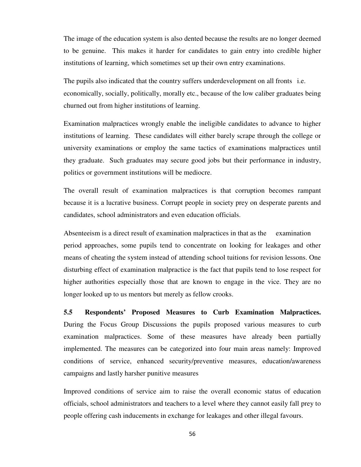The image of the education system is also dented because the results are no longer deemed to be genuine. This makes it harder for candidates to gain entry into credible higher institutions of learning, which sometimes set up their own entry examinations.

The pupils also indicated that the country suffers underdevelopment on all fronts i.e. economically, socially, politically, morally etc., because of the low caliber graduates being churned out from higher institutions of learning.

Examination malpractices wrongly enable the ineligible candidates to advance to higher institutions of learning. These candidates will either barely scrape through the college or university examinations or employ the same tactics of examinations malpractices until they graduate. Such graduates may secure good jobs but their performance in industry, politics or government institutions will be mediocre.

The overall result of examination malpractices is that corruption becomes rampant because it is a lucrative business. Corrupt people in society prey on desperate parents and candidates, school administrators and even education officials.

Absenteeism is a direct result of examination malpractices in that as the examination period approaches, some pupils tend to concentrate on looking for leakages and other means of cheating the system instead of attending school tuitions for revision lessons. One disturbing effect of examination malpractice is the fact that pupils tend to lose respect for higher authorities especially those that are known to engage in the vice. They are no longer looked up to us mentors but merely as fellow crooks.

**5.5 Respondents' Proposed Measures to Curb Examination Malpractices.** During the Focus Group Discussions the pupils proposed various measures to curb examination malpractices. Some of these measures have already been partially implemented. The measures can be categorized into four main areas namely: Improved conditions of service, enhanced security/preventive measures, education/awareness campaigns and lastly harsher punitive measures

Improved conditions of service aim to raise the overall economic status of education officials, school administrators and teachers to a level where they cannot easily fall prey to people offering cash inducements in exchange for leakages and other illegal favours.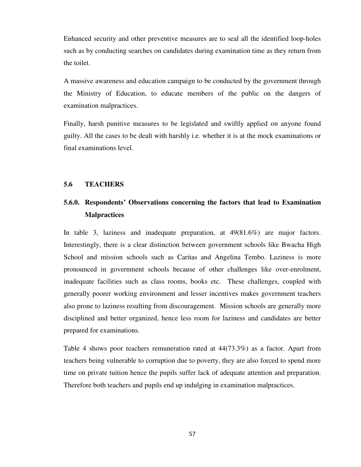Enhanced security and other preventive measures are to seal all the identified loop-holes such as by conducting searches on candidates during examination time as they return from the toilet.

A massive awareness and education campaign to be conducted by the government through the Ministry of Education, to educate members of the public on the dangers of examination malpractices.

Finally, harsh punitive measures to be legislated and swiftly applied on anyone found guilty. All the cases to be dealt with harshly i.e. whether it is at the mock examinations or final examinations level.

### **5.6 TEACHERS**

# **5.6.0. Respondents' Observations concerning the factors that lead to Examination Malpractices**

In table 3, laziness and inadequate preparation, at 49(81.6%) are major factors. Interestingly, there is a clear distinction between government schools like Bwacha High School and mission schools such as Caritas and Angelina Tembo. Laziness is more pronounced in government schools because of other challenges like over-enrolment, inadequate facilities such as class rooms, books etc. These challenges, coupled with generally poorer working environment and lesser incentives makes government teachers also prone to laziness resulting from discouragement. Mission schools are generally more disciplined and better organized, hence less room for laziness and candidates are better prepared for examinations.

Table 4 shows poor teachers remuneration rated at 44(73.3%) as a factor. Apart from teachers being vulnerable to corruption due to poverty, they are also forced to spend more time on private tuition hence the pupils suffer lack of adequate attention and preparation. Therefore both teachers and pupils end up indulging in examination malpractices.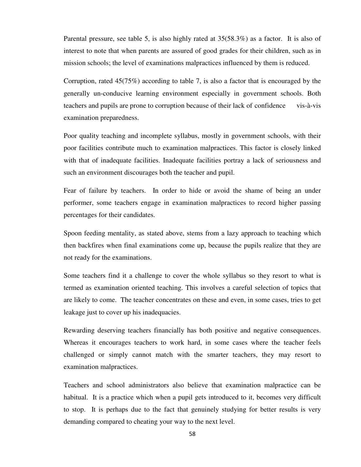Parental pressure, see table 5, is also highly rated at 35(58.3%) as a factor. It is also of interest to note that when parents are assured of good grades for their children, such as in mission schools; the level of examinations malpractices influenced by them is reduced.

Corruption, rated 45(75%) according to table 7, is also a factor that is encouraged by the generally un-conducive learning environment especially in government schools. Both teachers and pupils are prone to corruption because of their lack of confidence vis-à-vis examination preparedness.

Poor quality teaching and incomplete syllabus, mostly in government schools, with their poor facilities contribute much to examination malpractices. This factor is closely linked with that of inadequate facilities. Inadequate facilities portray a lack of seriousness and such an environment discourages both the teacher and pupil.

Fear of failure by teachers. In order to hide or avoid the shame of being an under performer, some teachers engage in examination malpractices to record higher passing percentages for their candidates.

Spoon feeding mentality, as stated above, stems from a lazy approach to teaching which then backfires when final examinations come up, because the pupils realize that they are not ready for the examinations.

Some teachers find it a challenge to cover the whole syllabus so they resort to what is termed as examination oriented teaching. This involves a careful selection of topics that are likely to come. The teacher concentrates on these and even, in some cases, tries to get leakage just to cover up his inadequacies.

Rewarding deserving teachers financially has both positive and negative consequences. Whereas it encourages teachers to work hard, in some cases where the teacher feels challenged or simply cannot match with the smarter teachers, they may resort to examination malpractices.

Teachers and school administrators also believe that examination malpractice can be habitual. It is a practice which when a pupil gets introduced to it, becomes very difficult to stop. It is perhaps due to the fact that genuinely studying for better results is very demanding compared to cheating your way to the next level.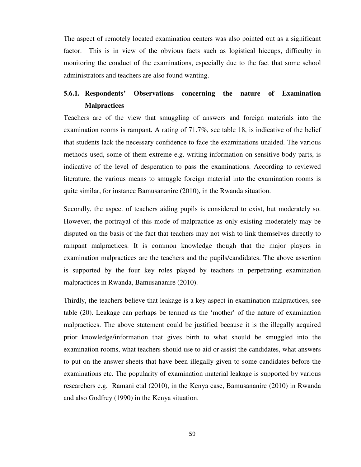The aspect of remotely located examination centers was also pointed out as a significant factor. This is in view of the obvious facts such as logistical hiccups, difficulty in monitoring the conduct of the examinations, especially due to the fact that some school administrators and teachers are also found wanting.

# **5.6.1. Respondents' Observations concerning the nature of Examination Malpractices**

Teachers are of the view that smuggling of answers and foreign materials into the examination rooms is rampant. A rating of 71.7%, see table 18, is indicative of the belief that students lack the necessary confidence to face the examinations unaided. The various methods used, some of them extreme e.g. writing information on sensitive body parts, is indicative of the level of desperation to pass the examinations. According to reviewed literature, the various means to smuggle foreign material into the examination rooms is quite similar, for instance Bamusananire (2010), in the Rwanda situation.

Secondly, the aspect of teachers aiding pupils is considered to exist, but moderately so. However, the portrayal of this mode of malpractice as only existing moderately may be disputed on the basis of the fact that teachers may not wish to link themselves directly to rampant malpractices. It is common knowledge though that the major players in examination malpractices are the teachers and the pupils/candidates. The above assertion is supported by the four key roles played by teachers in perpetrating examination malpractices in Rwanda, Bamusananire (2010).

Thirdly, the teachers believe that leakage is a key aspect in examination malpractices, see table (20). Leakage can perhaps be termed as the 'mother' of the nature of examination malpractices. The above statement could be justified because it is the illegally acquired prior knowledge/information that gives birth to what should be smuggled into the examination rooms, what teachers should use to aid or assist the candidates, what answers to put on the answer sheets that have been illegally given to some candidates before the examinations etc. The popularity of examination material leakage is supported by various researchers e.g. Ramani etal (2010), in the Kenya case, Bamusananire (2010) in Rwanda and also Godfrey (1990) in the Kenya situation.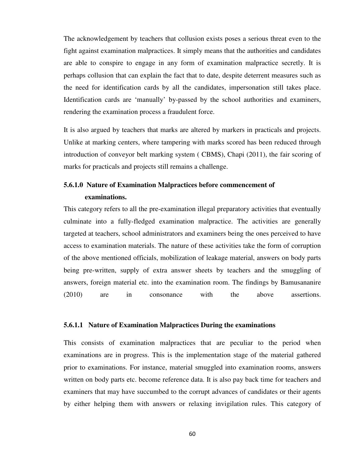The acknowledgement by teachers that collusion exists poses a serious threat even to the fight against examination malpractices. It simply means that the authorities and candidates are able to conspire to engage in any form of examination malpractice secretly. It is perhaps collusion that can explain the fact that to date, despite deterrent measures such as the need for identification cards by all the candidates, impersonation still takes place. Identification cards are 'manually' by-passed by the school authorities and examiners, rendering the examination process a fraudulent force.

It is also argued by teachers that marks are altered by markers in practicals and projects. Unlike at marking centers, where tampering with marks scored has been reduced through introduction of conveyor belt marking system ( CBMS), Chapi (2011), the fair scoring of marks for practicals and projects still remains a challenge.

# **5.6.1.0 Nature of Examination Malpractices before commencement of examinations.**

This category refers to all the pre-examination illegal preparatory activities that eventually culminate into a fully-fledged examination malpractice. The activities are generally targeted at teachers, school administrators and examiners being the ones perceived to have access to examination materials. The nature of these activities take the form of corruption of the above mentioned officials, mobilization of leakage material, answers on body parts being pre-written, supply of extra answer sheets by teachers and the smuggling of answers, foreign material etc. into the examination room. The findings by Bamusananire (2010) are in consonance with the above assertions.

#### **5.6.1.1 Nature of Examination Malpractices During the examinations**

This consists of examination malpractices that are peculiar to the period when examinations are in progress. This is the implementation stage of the material gathered prior to examinations. For instance, material smuggled into examination rooms, answers written on body parts etc. become reference data. It is also pay back time for teachers and examiners that may have succumbed to the corrupt advances of candidates or their agents by either helping them with answers or relaxing invigilation rules. This category of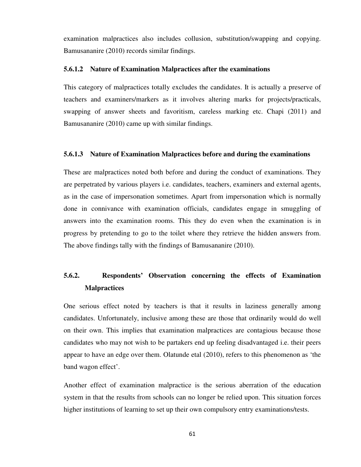examination malpractices also includes collusion, substitution/swapping and copying. Bamusananire (2010) records similar findings.

### **5.6.1.2 Nature of Examination Malpractices after the examinations**

This category of malpractices totally excludes the candidates. It is actually a preserve of teachers and examiners/markers as it involves altering marks for projects/practicals, swapping of answer sheets and favoritism, careless marking etc. Chapi (2011) and Bamusananire (2010) came up with similar findings.

#### **5.6.1.3 Nature of Examination Malpractices before and during the examinations**

These are malpractices noted both before and during the conduct of examinations. They are perpetrated by various players i.e. candidates, teachers, examiners and external agents, as in the case of impersonation sometimes. Apart from impersonation which is normally done in connivance with examination officials, candidates engage in smuggling of answers into the examination rooms. This they do even when the examination is in progress by pretending to go to the toilet where they retrieve the hidden answers from. The above findings tally with the findings of Bamusananire (2010).

# **5.6.2. Respondents' Observation concerning the effects of Examination Malpractices**

One serious effect noted by teachers is that it results in laziness generally among candidates. Unfortunately, inclusive among these are those that ordinarily would do well on their own. This implies that examination malpractices are contagious because those candidates who may not wish to be partakers end up feeling disadvantaged i.e. their peers appear to have an edge over them. Olatunde etal (2010), refers to this phenomenon as 'the band wagon effect'.

Another effect of examination malpractice is the serious aberration of the education system in that the results from schools can no longer be relied upon. This situation forces higher institutions of learning to set up their own compulsory entry examinations/tests.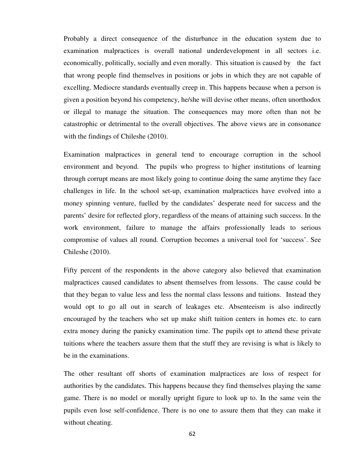Probably a direct consequence of the disturbance in the education system due to examination malpractices is overall national underdevelopment in all sectors i.e. economically, politically, socially and even morally. This situation is caused by the fact that wrong people find themselves in positions or jobs in which they are not capable of excelling. Mediocre standards eventually creep in. This happens because when a person is given a position beyond his competency, he/she will devise other means, often unorthodox or illegal to manage the situation. The consequences may more often than not be catastrophic or detrimental to the overall objectives. The above views are in consonance with the findings of Chileshe (2010).

Examination malpractices in general tend to encourage corruption in the school environment and beyond. The pupils who progress to higher institutions of learning through corrupt means are most likely going to continue doing the same anytime they face challenges in life. In the school set-up, examination malpractices have evolved into a money spinning venture, fuelled by the candidates' desperate need for success and the parents' desire for reflected glory, regardless of the means of attaining such success. In the work environment, failure to manage the affairs professionally leads to serious compromise of values all round. Corruption becomes a universal tool for 'success'. See Chileshe (2010).

Fifty percent of the respondents in the above category also believed that examination malpractices caused candidates to absent themselves from lessons. The cause could be that they began to value less and less the normal class lessons and tuitions. Instead they would opt to go all out in search of leakages etc. Absenteeism is also indirectly encouraged by the teachers who set up make shift tuition centers in homes etc. to earn extra money during the panicky examination time. The pupils opt to attend these private tuitions where the teachers assure them that the stuff they are revising is what is likely to be in the examinations.

The other resultant off shorts of examination malpractices are loss of respect for authorities by the candidates. This happens because they find themselves playing the same game. There is no model or morally upright figure to look up to. In the same vein the pupils even lose self-confidence. There is no one to assure them that they can make it without cheating.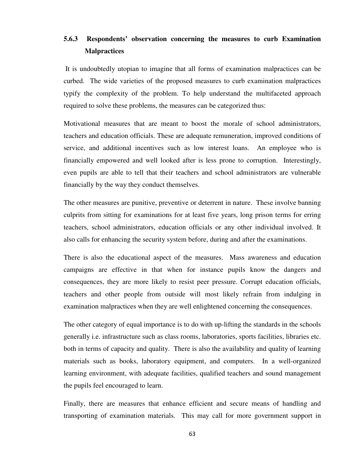# **5.6.3 Respondents' observation concerning the measures to curb Examination Malpractices**

 It is undoubtedly utopian to imagine that all forms of examination malpractices can be curbed. The wide varieties of the proposed measures to curb examination malpractices typify the complexity of the problem. To help understand the multifaceted approach required to solve these problems, the measures can be categorized thus:

Motivational measures that are meant to boost the morale of school administrators, teachers and education officials. These are adequate remuneration, improved conditions of service, and additional incentives such as low interest loans. An employee who is financially empowered and well looked after is less prone to corruption. Interestingly, even pupils are able to tell that their teachers and school administrators are vulnerable financially by the way they conduct themselves.

The other measures are punitive, preventive or deterrent in nature. These involve banning culprits from sitting for examinations for at least five years, long prison terms for erring teachers, school administrators, education officials or any other individual involved. It also calls for enhancing the security system before, during and after the examinations.

There is also the educational aspect of the measures. Mass awareness and education campaigns are effective in that when for instance pupils know the dangers and consequences, they are more likely to resist peer pressure. Corrupt education officials, teachers and other people from outside will most likely refrain from indulging in examination malpractices when they are well enlightened concerning the consequences.

The other category of equal importance is to do with up-lifting the standards in the schools generally i.e. infrastructure such as class rooms, laboratories, sports facilities, libraries etc. both in terms of capacity and quality. There is also the availability and quality of learning materials such as books, laboratory equipment, and computers. In a well-organized learning environment, with adequate facilities, qualified teachers and sound management the pupils feel encouraged to learn.

Finally, there are measures that enhance efficient and secure means of handling and transporting of examination materials. This may call for more government support in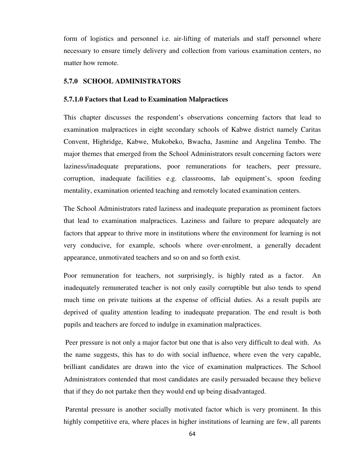form of logistics and personnel i.e. air-lifting of materials and staff personnel where necessary to ensure timely delivery and collection from various examination centers, no matter how remote.

### **5.7.0 SCHOOL ADMINISTRATORS**

#### **5.7.1.0 Factors that Lead to Examination Malpractices**

This chapter discusses the respondent's observations concerning factors that lead to examination malpractices in eight secondary schools of Kabwe district namely Caritas Convent, Highridge, Kabwe, Mukobeko, Bwacha, Jasmine and Angelina Tembo. The major themes that emerged from the School Administrators result concerning factors were laziness/inadequate preparations, poor remunerations for teachers, peer pressure, corruption, inadequate facilities e.g. classrooms, lab equipment's, spoon feeding mentality, examination oriented teaching and remotely located examination centers.

The School Administrators rated laziness and inadequate preparation as prominent factors that lead to examination malpractices. Laziness and failure to prepare adequately are factors that appear to thrive more in institutions where the environment for learning is not very conducive, for example, schools where over-enrolment, a generally decadent appearance, unmotivated teachers and so on and so forth exist.

Poor remuneration for teachers, not surprisingly, is highly rated as a factor. An inadequately remunerated teacher is not only easily corruptible but also tends to spend much time on private tuitions at the expense of official duties. As a result pupils are deprived of quality attention leading to inadequate preparation. The end result is both pupils and teachers are forced to indulge in examination malpractices.

 Peer pressure is not only a major factor but one that is also very difficult to deal with. As the name suggests, this has to do with social influence, where even the very capable, brilliant candidates are drawn into the vice of examination malpractices. The School Administrators contended that most candidates are easily persuaded because they believe that if they do not partake then they would end up being disadvantaged.

 Parental pressure is another socially motivated factor which is very prominent. In this highly competitive era, where places in higher institutions of learning are few, all parents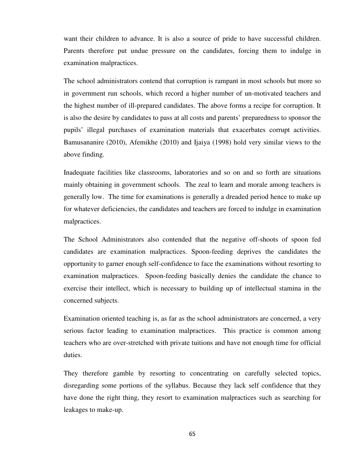want their children to advance. It is also a source of pride to have successful children. Parents therefore put undue pressure on the candidates, forcing them to indulge in examination malpractices.

The school administrators contend that corruption is rampant in most schools but more so in government run schools, which record a higher number of un-motivated teachers and the highest number of ill-prepared candidates. The above forms a recipe for corruption. It is also the desire by candidates to pass at all costs and parents' preparedness to sponsor the pupils' illegal purchases of examination materials that exacerbates corrupt activities. Bamusananire (2010), Afemikhe (2010) and Ijaiya (1998) hold very similar views to the above finding.

Inadequate facilities like classrooms, laboratories and so on and so forth are situations mainly obtaining in government schools. The zeal to learn and morale among teachers is generally low. The time for examinations is generally a dreaded period hence to make up for whatever deficiencies, the candidates and teachers are forced to indulge in examination malpractices.

The School Administrators also contended that the negative off-shoots of spoon fed candidates are examination malpractices. Spoon-feeding deprives the candidates the opportunity to garner enough self-confidence to face the examinations without resorting to examination malpractices. Spoon-feeding basically denies the candidate the chance to exercise their intellect, which is necessary to building up of intellectual stamina in the concerned subjects.

Examination oriented teaching is, as far as the school administrators are concerned, a very serious factor leading to examination malpractices. This practice is common among teachers who are over-stretched with private tuitions and have not enough time for official duties.

They therefore gamble by resorting to concentrating on carefully selected topics, disregarding some portions of the syllabus. Because they lack self confidence that they have done the right thing, they resort to examination malpractices such as searching for leakages to make-up.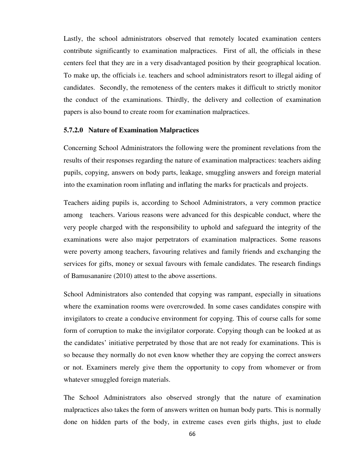Lastly, the school administrators observed that remotely located examination centers contribute significantly to examination malpractices. First of all, the officials in these centers feel that they are in a very disadvantaged position by their geographical location. To make up, the officials i.e. teachers and school administrators resort to illegal aiding of candidates. Secondly, the remoteness of the centers makes it difficult to strictly monitor the conduct of the examinations. Thirdly, the delivery and collection of examination papers is also bound to create room for examination malpractices.

### **5.7.2.0 Nature of Examination Malpractices**

Concerning School Administrators the following were the prominent revelations from the results of their responses regarding the nature of examination malpractices: teachers aiding pupils, copying, answers on body parts, leakage, smuggling answers and foreign material into the examination room inflating and inflating the marks for practicals and projects.

Teachers aiding pupils is, according to School Administrators, a very common practice among teachers. Various reasons were advanced for this despicable conduct, where the very people charged with the responsibility to uphold and safeguard the integrity of the examinations were also major perpetrators of examination malpractices. Some reasons were poverty among teachers, favouring relatives and family friends and exchanging the services for gifts, money or sexual favours with female candidates. The research findings of Bamusananire (2010) attest to the above assertions.

School Administrators also contended that copying was rampant, especially in situations where the examination rooms were overcrowded. In some cases candidates conspire with invigilators to create a conducive environment for copying. This of course calls for some form of corruption to make the invigilator corporate. Copying though can be looked at as the candidates' initiative perpetrated by those that are not ready for examinations. This is so because they normally do not even know whether they are copying the correct answers or not. Examiners merely give them the opportunity to copy from whomever or from whatever smuggled foreign materials.

The School Administrators also observed strongly that the nature of examination malpractices also takes the form of answers written on human body parts. This is normally done on hidden parts of the body, in extreme cases even girls thighs, just to elude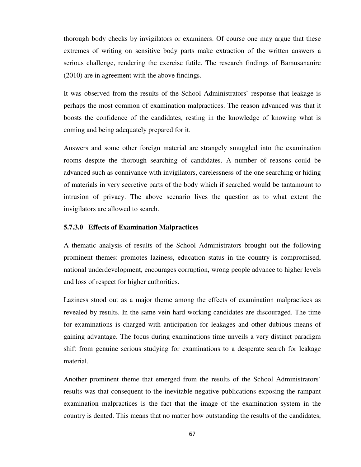thorough body checks by invigilators or examiners. Of course one may argue that these extremes of writing on sensitive body parts make extraction of the written answers a serious challenge, rendering the exercise futile. The research findings of Bamusananire (2010) are in agreement with the above findings.

It was observed from the results of the School Administrators` response that leakage is perhaps the most common of examination malpractices. The reason advanced was that it boosts the confidence of the candidates, resting in the knowledge of knowing what is coming and being adequately prepared for it.

Answers and some other foreign material are strangely smuggled into the examination rooms despite the thorough searching of candidates. A number of reasons could be advanced such as connivance with invigilators, carelessness of the one searching or hiding of materials in very secretive parts of the body which if searched would be tantamount to intrusion of privacy. The above scenario lives the question as to what extent the invigilators are allowed to search.

### **5.7.3.0 Effects of Examination Malpractices**

A thematic analysis of results of the School Administrators brought out the following prominent themes: promotes laziness, education status in the country is compromised, national underdevelopment, encourages corruption, wrong people advance to higher levels and loss of respect for higher authorities.

Laziness stood out as a major theme among the effects of examination malpractices as revealed by results. In the same vein hard working candidates are discouraged. The time for examinations is charged with anticipation for leakages and other dubious means of gaining advantage. The focus during examinations time unveils a very distinct paradigm shift from genuine serious studying for examinations to a desperate search for leakage material.

Another prominent theme that emerged from the results of the School Administrators` results was that consequent to the inevitable negative publications exposing the rampant examination malpractices is the fact that the image of the examination system in the country is dented. This means that no matter how outstanding the results of the candidates,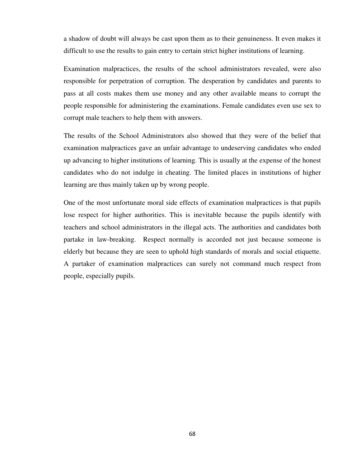a shadow of doubt will always be cast upon them as to their genuineness. It even makes it difficult to use the results to gain entry to certain strict higher institutions of learning.

Examination malpractices, the results of the school administrators revealed, were also responsible for perpetration of corruption. The desperation by candidates and parents to pass at all costs makes them use money and any other available means to corrupt the people responsible for administering the examinations. Female candidates even use sex to corrupt male teachers to help them with answers.

The results of the School Administrators also showed that they were of the belief that examination malpractices gave an unfair advantage to undeserving candidates who ended up advancing to higher institutions of learning. This is usually at the expense of the honest candidates who do not indulge in cheating. The limited places in institutions of higher learning are thus mainly taken up by wrong people.

One of the most unfortunate moral side effects of examination malpractices is that pupils lose respect for higher authorities. This is inevitable because the pupils identify with teachers and school administrators in the illegal acts. The authorities and candidates both partake in law-breaking. Respect normally is accorded not just because someone is elderly but because they are seen to uphold high standards of morals and social etiquette. A partaker of examination malpractices can surely not command much respect from people, especially pupils.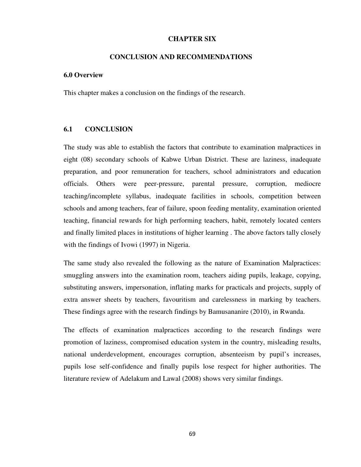## **CHAPTER SIX**

### **CONCLUSION AND RECOMMENDATIONS**

#### **6.0 Overview**

This chapter makes a conclusion on the findings of the research.

## **6.1 CONCLUSION**

The study was able to establish the factors that contribute to examination malpractices in eight (08) secondary schools of Kabwe Urban District. These are laziness, inadequate preparation, and poor remuneration for teachers, school administrators and education officials. Others were peer-pressure, parental pressure, corruption, mediocre teaching/incomplete syllabus, inadequate facilities in schools, competition between schools and among teachers, fear of failure, spoon feeding mentality, examination oriented teaching, financial rewards for high performing teachers, habit, remotely located centers and finally limited places in institutions of higher learning . The above factors tally closely with the findings of Ivowi (1997) in Nigeria.

The same study also revealed the following as the nature of Examination Malpractices: smuggling answers into the examination room, teachers aiding pupils, leakage, copying, substituting answers, impersonation, inflating marks for practicals and projects, supply of extra answer sheets by teachers, favouritism and carelessness in marking by teachers. These findings agree with the research findings by Bamusananire (2010), in Rwanda.

The effects of examination malpractices according to the research findings were promotion of laziness, compromised education system in the country, misleading results, national underdevelopment, encourages corruption, absenteeism by pupil's increases, pupils lose self-confidence and finally pupils lose respect for higher authorities. The literature review of Adelakum and Lawal (2008) shows very similar findings.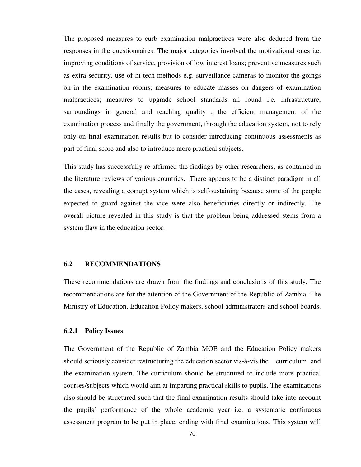The proposed measures to curb examination malpractices were also deduced from the responses in the questionnaires. The major categories involved the motivational ones i.e. improving conditions of service, provision of low interest loans; preventive measures such as extra security, use of hi-tech methods e.g. surveillance cameras to monitor the goings on in the examination rooms; measures to educate masses on dangers of examination malpractices; measures to upgrade school standards all round i.e. infrastructure, surroundings in general and teaching quality ; the efficient management of the examination process and finally the government, through the education system, not to rely only on final examination results but to consider introducing continuous assessments as part of final score and also to introduce more practical subjects.

This study has successfully re-affirmed the findings by other researchers, as contained in the literature reviews of various countries. There appears to be a distinct paradigm in all the cases, revealing a corrupt system which is self-sustaining because some of the people expected to guard against the vice were also beneficiaries directly or indirectly. The overall picture revealed in this study is that the problem being addressed stems from a system flaw in the education sector.

### **6.2 RECOMMENDATIONS**

These recommendations are drawn from the findings and conclusions of this study. The recommendations are for the attention of the Government of the Republic of Zambia, The Ministry of Education, Education Policy makers, school administrators and school boards.

### **6.2.1 Policy Issues**

The Government of the Republic of Zambia MOE and the Education Policy makers should seriously consider restructuring the education sector vis-à-vis the curriculum and the examination system. The curriculum should be structured to include more practical courses/subjects which would aim at imparting practical skills to pupils. The examinations also should be structured such that the final examination results should take into account the pupils' performance of the whole academic year i.e. a systematic continuous assessment program to be put in place, ending with final examinations. This system will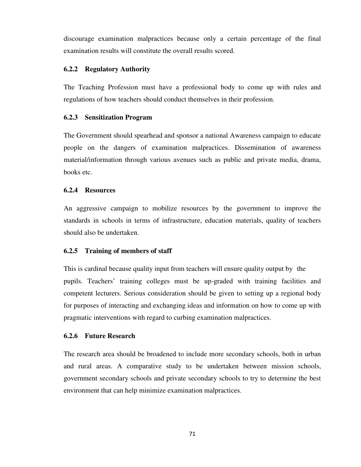discourage examination malpractices because only a certain percentage of the final examination results will constitute the overall results scored.

### **6.2.2 Regulatory Authority**

The Teaching Profession must have a professional body to come up with rules and regulations of how teachers should conduct themselves in their profession.

### **6.2.3 Sensitization Program**

The Government should spearhead and sponsor a national Awareness campaign to educate people on the dangers of examination malpractices. Dissemination of awareness material/information through various avenues such as public and private media, drama, books etc.

## **6.2.4 Resources**

An aggressive campaign to mobilize resources by the government to improve the standards in schools in terms of infrastructure, education materials, quality of teachers should also be undertaken.

## **6.2.5 Training of members of staff**

This is cardinal because quality input from teachers will ensure quality output by the pupils. Teachers' training colleges must be up-graded with training facilities and competent lecturers. Serious consideration should be given to setting up a regional body for purposes of interacting and exchanging ideas and information on how to come up with pragmatic interventions with regard to curbing examination malpractices.

### **6.2.6 Future Research**

The research area should be broadened to include more secondary schools, both in urban and rural areas. A comparative study to be undertaken between mission schools, government secondary schools and private secondary schools to try to determine the best environment that can help minimize examination malpractices.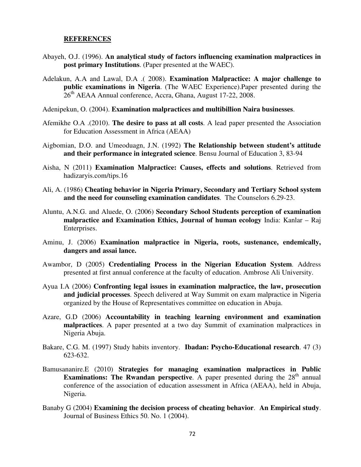#### **REFERENCES**

- Abayeh, O.J. (1996). **An analytical study of factors influencing examination malpractices in post primary Institutions**. (Paper presented at the WAEC).
- Adelakun, A.A and Lawal, D.A .( 2008). **Examination Malpractice: A major challenge to public examinations in Nigeria**. (The WAEC Experience).Paper presented during the  $26<sup>th</sup>$  AEAA Annual conference, Accra, Ghana, August 17-22, 2008.

Adenipekun, O. (2004). **Examination malpractices and multibillion Naira businesses**.

- Afemikhe O.A .(2010). **The desire to pass at all costs**. A lead paper presented the Association for Education Assessment in Africa (AEAA)
- Aigbomian, D.O. and Umeoduagn, J.N. (1992) **The Relationship between student's attitude and their performance in integrated science**. Bensu Journal of Education 3, 83-94
- Aisha, N (2011) **Examination Malpractice: Causes, effects and solutions**. Retrieved from hadizaryis.com/tips.16
- Ali, A. (1986) **Cheating behavior in Nigeria Primary, Secondary and Tertiary School system and the need for counseling examination candidates**. The Counselors 6.29-23.
- Aluntu, A.N.G. and Aluede, O. (2006) **Secondary School Students perception of examination malpractice and Examination Ethics, Journal of human ecology** India: Kanlar – Raj Enterprises.
- Aminu, J. (2006) **Examination malpractice in Nigeria, roots, sustenance, endemically, dangers and assai lance.**
- Awambor, D (2005) **Credentialing Process in the Nigerian Education System**. Address presented at first annual conference at the faculty of education. Ambrose Ali University.
- Ayua I.A (2006) **Confronting legal issues in examination malpractice, the law, prosecution and judicial processes**. Speech delivered at Way Summit on exam malpractice in Nigeria organized by the House of Representatives committee on education in Abuja.
- Azare, G.D (2006) **Accountability in teaching learning environment and examination malpractices**. A paper presented at a two day Summit of examination malpractices in Nigeria Abuja.
- Bakare, C.G. M. (1997) Study habits inventory. **Ibadan: Psycho-Educational research**. 47 (3) 623-632.
- Bamusananire.E (2010) **Strategies for managing examination malpractices in Public Examinations: The Rwandan perspective**. A paper presented during the 28<sup>th</sup> annual conference of the association of education assessment in Africa (AEAA), held in Abuja, Nigeria.
- Banaby G (2004) **Examining the decision process of cheating behavior**. **An Empirical study**. Journal of Business Ethics 50. No. 1 (2004).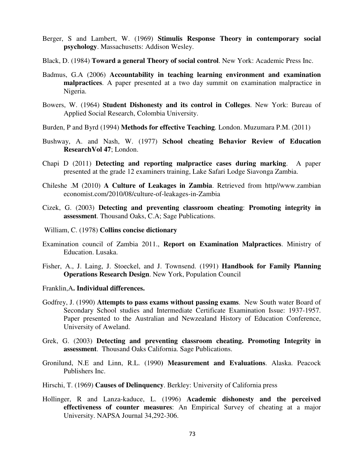- Berger, S and Lambert, W. (1969) **Stimulis Response Theory in contemporary social psychology**. Massachusetts: Addison Wesley.
- Black, D. (1984) **Toward a general Theory of social control**. New York: Academic Press Inc.
- Badmus, G.A (2006) **Accountability in teaching learning environment and examination malpractices**. A paper presented at a two day summit on examination malpractice in Nigeria.
- Bowers, W. (1964) **Student Dishonesty and its control in Colleges**. New York: Bureau of Applied Social Research, Colombia University.
- Burden, P and Byrd (1994) **Methods for effective Teaching**. London. Muzumara P.M. (2011)
- Bushway, A. and Nash, W. (1977) **School cheating Behavior Review of Education ResearchVol 47**; London.
- Chapi D (2011) **Detecting and reporting malpractice cases during marking**. A paper presented at the grade 12 examiners training, Lake Safari Lodge Siavonga Zambia.
- Chileshe .M (2010) **A Culture of Leakages in Zambia**. Retrieved from http//www.zambian economist.com/2010/08/culture-of-leakages-in-Zambia
- Cizek, G. (2003) **Detecting and preventing classroom cheating**: **Promoting integrity in assessment**. Thousand Oaks, C.A; Sage Publications.
- William, C. (1978) **Collins concise dictionary**
- Examination council of Zambia 2011., **Report on Examination Malpractices**. Ministry of Education. Lusaka.
- Fisher, A., J. Laing, J. Stoeckel, and J. Townsend. (1991) **Handbook for Family Planning Operations Research Design**. New York, Population Council
- Franklin,A**. Individual differences.**
- Godfrey, J. (1990) **Attempts to pass exams without passing exams**. New South water Board of Secondary School studies and Intermediate Certificate Examination Issue: 1937-1957. Paper presented to the Australian and Newzealand History of Education Conference, University of Aweland.
- Grek, G. (2003) **Detecting and preventing classroom cheating. Promoting Integrity in assessment**. Thousand Oaks California. Sage Publications.
- Gronilund, N.E and Linn, R.L. (1990**) Measurement and Evaluations**. Alaska. Peacock Publishers Inc.
- Hirschi, T. (1969) **Causes of Delinquency**. Berkley: University of California press
- Hollinger, R and Lanza-kaduce, L. (1996) **Academic dishonesty and the perceived effectiveness of counter measures**: An Empirical Survey of cheating at a major University. NAPSA Journal 34,292-306.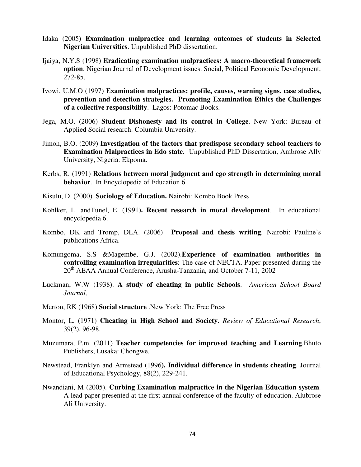- Idaka (2005) **Examination malpractice and learning outcomes of students in Selected Nigerian Universities**. Unpublished PhD dissertation.
- Ijaiya, N.Y.S (1998**) Eradicating examination malpractices: A macro-theoretical framework option**. Nigerian Journal of Development issues. Social, Political Economic Development, 272-85.
- Ivowi, U.M.O (1997) **Examination malpractices: profile, causes, warning signs, case studies, prevention and detection strategies. Promoting Examination Ethics the Challenges of a collective responsibility**. Lagos: Potomac Books.
- Jega, M.O. (2006) **Student Dishonesty and its control in College**. New York: Bureau of Applied Social research. Columbia University.
- Jimoh, B.O. (2009**) Investigation of the factors that predispose secondary school teachers to Examination Malpractices in Edo state**. Unpublished PhD Dissertation, Ambrose Ally University, Nigeria: Ekpoma.
- Kerbs, R. (1991) **Relations between moral judgment and ego strength in determining moral behavior**. In Encyclopedia of Education 6.
- Kisulu, D. (2000). **Sociology of Education.** Nairobi: Kombo Book Press
- Kohlker, L. andTunel, E. (1991**). Recent research in moral development**. In educational encyclopedia 6.
- Kombo, DK and Tromp, DLA. (2006) **Proposal and thesis writing**. Nairobi: Pauline's publications Africa.
- Komungoma, S.S &Magembe, G.J. (2002).**Experience of examination authorities in controlling examination irregularities**: The case of NECTA. Paper presented during the  $20<sup>th</sup> AEAA Annual Conference, Arusha-Tanzania, and October 7-11, 2002$
- Luckman, W.W (1938). **A study of cheating in public Schools**. *American School Board Journal,*
- Merton, RK (1968) **Social structure** .New York: The Free Press
- Montor, L. (1971) **Cheating in High School and Society**. *Review of Educational Research*, 39(2), 96-98.
- Muzumara, P.m. (2011) **Teacher competencies for improved teaching and Learning**.Bhuto Publishers, Lusaka: Chongwe.
- Newstead, Franklyn and Armstead (1996**). Individual difference in students cheating**. Journal of Educational Psychology, 88(2), 229-241.
- Nwandiani, M (2005). **Curbing Examination malpractice in the Nigerian Education system**. A lead paper presented at the first annual conference of the faculty of education. Alubrose Ali University.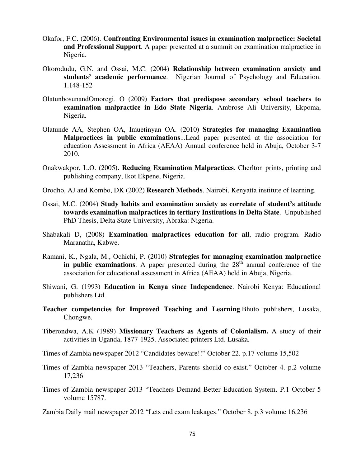- Okafor, F.C. (2006). **Confronting Environmental issues in examination malpractice: Societal and Professional Support**. A paper presented at a summit on examination malpractice in Nigeria.
- Okorodudu, G.N. and Ossai, M.C. (2004) **Relationship between examination anxiety and students' academic performance**. Nigerian Journal of Psychology and Education. 1.148-152
- OlatunbosunandOmoregi. O (2009**) Factors that predispose secondary school teachers to examination malpractice in Edo State Nigeria**. Ambrose Ali University, Ekpoma, Nigeria.
- Olatunde AA, Stephen OA, Imuetinyan OA. (2010) **Strategies for managing Examination Malpractices in public examinations**...Lead paper presented at the association for education Assessment in Africa (AEAA) Annual conference held in Abuja, October 3-7 2010.
- Onakwakpor, L.O. (2005**). Reducing Examination Malpractices**. Cherlton prints, printing and publishing company, Ikot Ekpene, Nigeria.
- Orodho, AJ and Kombo, DK (2002) **Research Methods**. Nairobi, Kenyatta institute of learning.
- Ossai, M.C. (2004) **Study habits and examination anxiety as correlate of student's attitude towards examination malpractices in tertiary Institutions in Delta State**. Unpublished PhD Thesis, Delta State University, Abraka: Nigeria.
- Shabakali D, (2008) **Examination malpractices education for all**, radio program. Radio Maranatha, Kabwe.
- Ramani, K., Ngala, M., Ochichi, P. (2010) **Strategies for managing examination malpractice in public examinations.** A paper presented during the  $28<sup>th</sup>$  annual conference of the association for educational assessment in Africa (AEAA) held in Abuja, Nigeria.
- Shiwani, G. (1993) **Education in Kenya since Independence**. Nairobi Kenya: Educational publishers Ltd.
- **Teacher competencies for Improved Teaching and Learning**.Bhuto publishers, Lusaka, Chongwe.
- Tiberondwa, A.K (1989) **Missionary Teachers as Agents of Colonialism.** A study of their activities in Uganda, 1877-1925. Associated printers Ltd. Lusaka.
- Times of Zambia newspaper 2012 "Candidates beware!!" October 22. p.17 volume 15,502
- Times of Zambia newspaper 2013 "Teachers, Parents should co-exist." October 4. p.2 volume 17,236
- Times of Zambia newspaper 2013 "Teachers Demand Better Education System. P.1 October 5 volume 15787.
- Zambia Daily mail newspaper 2012 "Lets end exam leakages." October 8. p.3 volume 16,236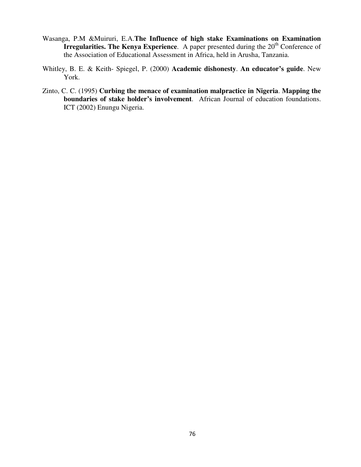- Wasanga, P.M &Muiruri, E.A.**The Influence of high stake Examinations on Examination Irregularities. The Kenya Experience**. A paper presented during the 20<sup>th</sup> Conference of the Association of Educational Assessment in Africa, held in Arusha, Tanzania.
- Whitley, B. E. & Keith- Spiegel, P. (2000) **Academic dishonesty**. **An educator's guide**. New York.
- Zinto, C. C. (1995) **Curbing the menace of examination malpractice in Nigeria**. **Mapping the boundaries of stake holder's involvement**. African Journal of education foundations. ICT (2002) Enungu Nigeria.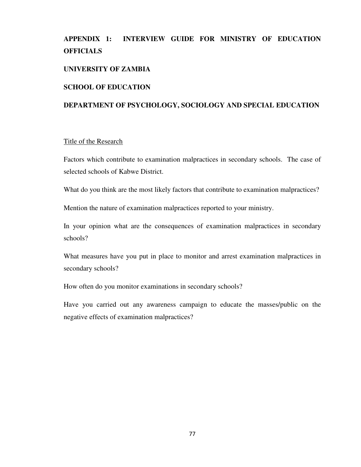# **APPENDIX 1: INTERVIEW GUIDE FOR MINISTRY OF EDUCATION OFFICIALS**

## **UNIVERSITY OF ZAMBIA**

#### **SCHOOL OF EDUCATION**

## **DEPARTMENT OF PSYCHOLOGY, SOCIOLOGY AND SPECIAL EDUCATION**

#### Title of the Research

Factors which contribute to examination malpractices in secondary schools. The case of selected schools of Kabwe District.

What do you think are the most likely factors that contribute to examination malpractices?

Mention the nature of examination malpractices reported to your ministry.

In your opinion what are the consequences of examination malpractices in secondary schools?

What measures have you put in place to monitor and arrest examination malpractices in secondary schools?

How often do you monitor examinations in secondary schools?

Have you carried out any awareness campaign to educate the masses/public on the negative effects of examination malpractices?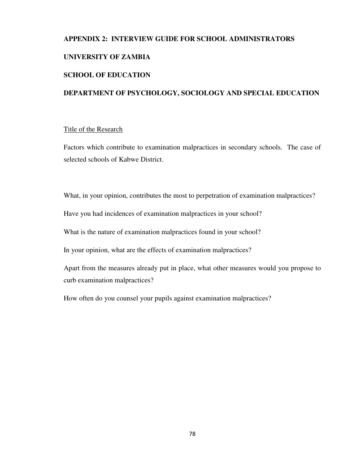# **APPENDIX 2: INTERVIEW GUIDE FOR SCHOOL ADMINISTRATORS UNIVERSITY OF ZAMBIA SCHOOL OF EDUCATION**

# **DEPARTMENT OF PSYCHOLOGY, SOCIOLOGY AND SPECIAL EDUCATION**

## Title of the Research

Factors which contribute to examination malpractices in secondary schools. The case of selected schools of Kabwe District.

What, in your opinion, contributes the most to perpetration of examination malpractices?

Have you had incidences of examination malpractices in your school?

What is the nature of examination malpractices found in your school?

In your opinion, what are the effects of examination malpractices?

Apart from the measures already put in place, what other measures would you propose to curb examination malpractices?

How often do you counsel your pupils against examination malpractices?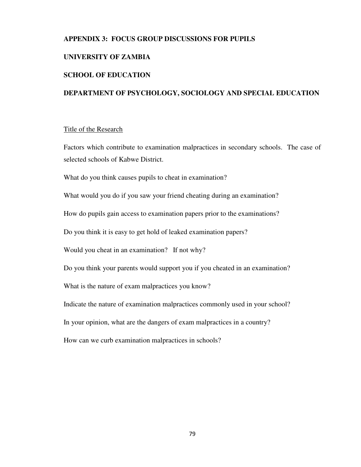## **APPENDIX 3: FOCUS GROUP DISCUSSIONS FOR PUPILS**

#### **UNIVERSITY OF ZAMBIA**

#### **SCHOOL OF EDUCATION**

## **DEPARTMENT OF PSYCHOLOGY, SOCIOLOGY AND SPECIAL EDUCATION**

#### Title of the Research

Factors which contribute to examination malpractices in secondary schools. The case of selected schools of Kabwe District.

What do you think causes pupils to cheat in examination?

What would you do if you saw your friend cheating during an examination?

How do pupils gain access to examination papers prior to the examinations?

Do you think it is easy to get hold of leaked examination papers?

Would you cheat in an examination? If not why?

Do you think your parents would support you if you cheated in an examination?

What is the nature of exam malpractices you know?

Indicate the nature of examination malpractices commonly used in your school?

In your opinion, what are the dangers of exam malpractices in a country?

How can we curb examination malpractices in schools?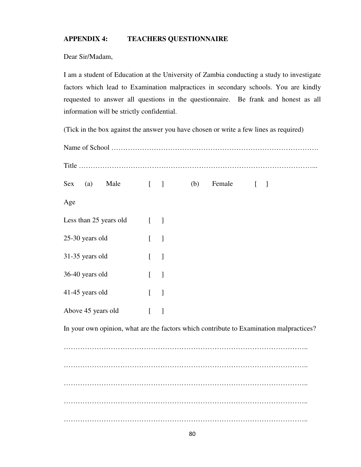# **APPENDIX 4: TEACHERS QUESTIONNAIRE**

Dear Sir/Madam,

I am a student of Education at the University of Zambia conducting a study to investigate factors which lead to Examination malpractices in secondary schools. You are kindly requested to answer all questions in the questionnaire. Be frank and honest as all information will be strictly confidential.

(Tick in the box against the answer you have chosen or write a few lines as required)

| Sex                    | (a) Male | $\begin{bmatrix} 1 & 1 \\ 1 & 1 \end{bmatrix}$ |                                   |                          | (b) Female $[ ]$ |                                                                                         |  |
|------------------------|----------|------------------------------------------------|-----------------------------------|--------------------------|------------------|-----------------------------------------------------------------------------------------|--|
| Age                    |          |                                                |                                   |                          |                  |                                                                                         |  |
| Less than 25 years old |          |                                                | $[$ $]$                           |                          |                  |                                                                                         |  |
| 25-30 years old        |          |                                                | $\begin{bmatrix} 1 \end{bmatrix}$ |                          |                  |                                                                                         |  |
| 31-35 years old        |          |                                                | $[$ ]                             |                          |                  |                                                                                         |  |
| 36-40 years old        |          |                                                | $\mathbf{r}$                      | $\overline{\phantom{a}}$ |                  |                                                                                         |  |
| 41-45 years old        |          | $[ \quad ]$                                    |                                   |                          |                  |                                                                                         |  |
| Above 45 years old     |          |                                                | $\Gamma$                          | $\overline{\phantom{a}}$ |                  |                                                                                         |  |
|                        |          |                                                |                                   |                          |                  | In your own opinion, what are the factors which contribute to Examination malpractices? |  |
|                        |          |                                                |                                   |                          |                  |                                                                                         |  |
|                        |          |                                                |                                   |                          |                  |                                                                                         |  |
|                        |          |                                                |                                   |                          |                  |                                                                                         |  |
|                        |          |                                                |                                   |                          |                  |                                                                                         |  |
|                        |          |                                                |                                   |                          |                  |                                                                                         |  |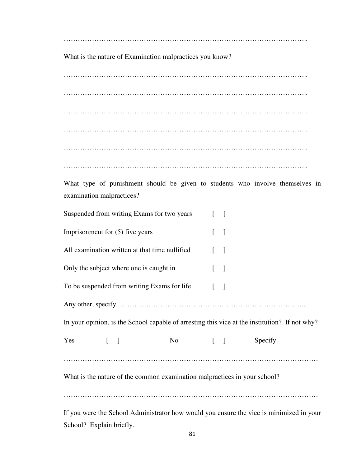…………………………………………………………………………………………..

What is the nature of Examination malpractices you know?

………………………………………………………………………………………….. ………………………………………………………………………………………….. ………………………………………………………………………………………….. ………………………………………………………………………………………….. ………………………………………………………………………………………….. …………………………………………………………………………………………..

What type of punishment should be given to students who involve themselves in examination malpractices?

|                                                                                               |                                                                                                                                   | Suspended from writing Exams for two years     |        | $\begin{bmatrix} 1 \end{bmatrix}$ |  |                                                                                         |  |
|-----------------------------------------------------------------------------------------------|-----------------------------------------------------------------------------------------------------------------------------------|------------------------------------------------|--------|-----------------------------------|--|-----------------------------------------------------------------------------------------|--|
| Imprisonment for $(5)$ five years                                                             |                                                                                                                                   |                                                |        | $\begin{bmatrix} 1 \end{bmatrix}$ |  |                                                                                         |  |
|                                                                                               |                                                                                                                                   | All examination written at that time nullified |        | $\begin{bmatrix} 1 \end{bmatrix}$ |  |                                                                                         |  |
|                                                                                               |                                                                                                                                   | Only the subject where one is caught in        |        | $\begin{bmatrix} 1 \end{bmatrix}$ |  |                                                                                         |  |
|                                                                                               |                                                                                                                                   | To be suspended from writing Exams for life    |        | $\begin{bmatrix} 1 \end{bmatrix}$ |  |                                                                                         |  |
|                                                                                               |                                                                                                                                   |                                                |        |                                   |  |                                                                                         |  |
| In your opinion, is the School capable of arresting this vice at the institution? If not why? |                                                                                                                                   |                                                |        |                                   |  |                                                                                         |  |
| Yes                                                                                           | $\begin{array}{ccc} \begin{array}{ccc} \end{array} & \begin{array}{ccc} \end{array} & \begin{array}{ccc} \end{array} \end{array}$ |                                                | No [ ] |                                   |  | Specify.                                                                                |  |
|                                                                                               |                                                                                                                                   |                                                |        |                                   |  |                                                                                         |  |
| What is the nature of the common examination malpractices in your school?                     |                                                                                                                                   |                                                |        |                                   |  |                                                                                         |  |
|                                                                                               |                                                                                                                                   |                                                |        |                                   |  |                                                                                         |  |
|                                                                                               |                                                                                                                                   |                                                |        |                                   |  | If you were the School Administrator how would you ensure the vice is minimized in your |  |

School? Explain briefly.